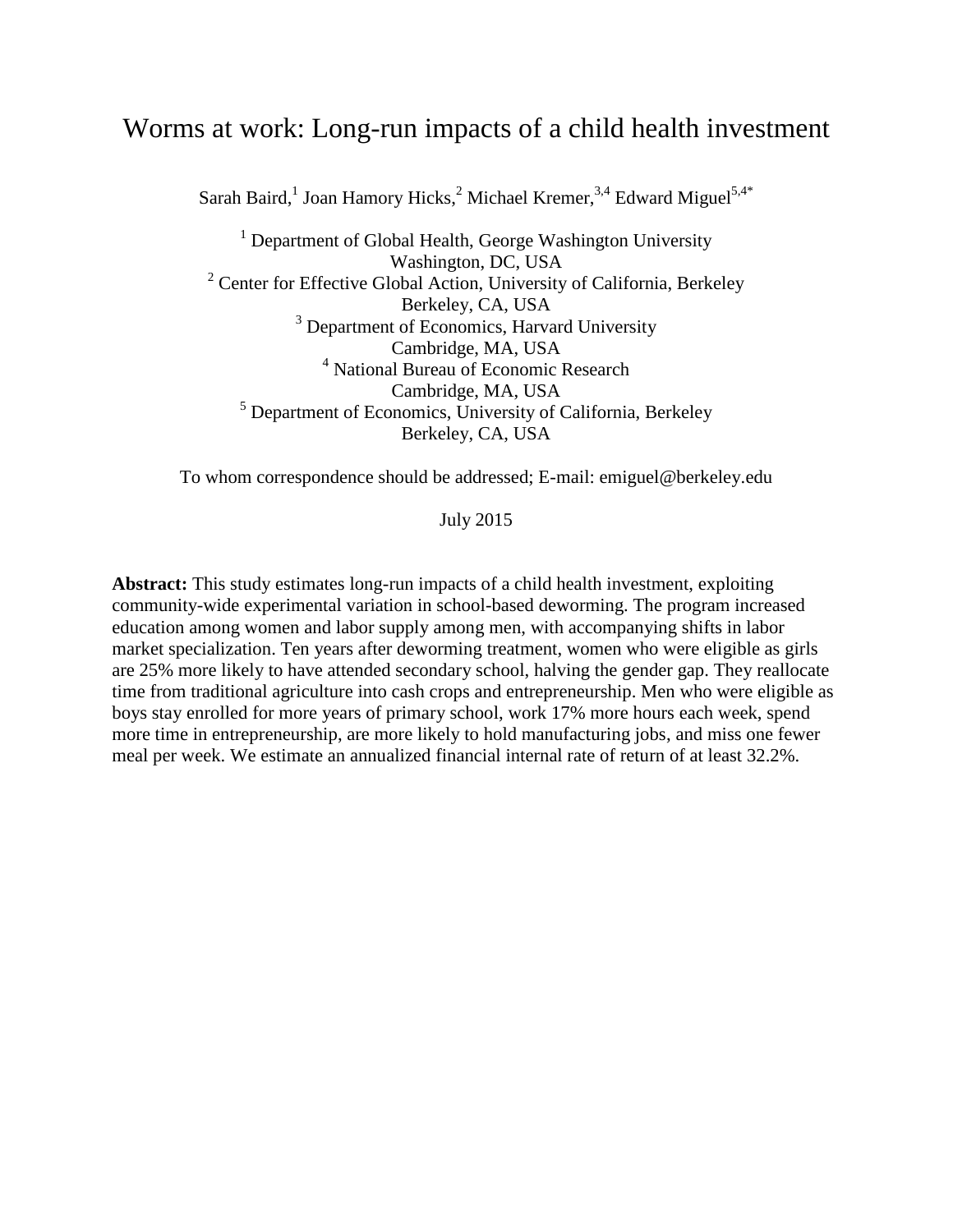# Worms at work: Long-run impacts of a child health investment

Sarah Baird,<sup>1</sup> Joan Hamory Hicks,<sup>2</sup> Michael Kremer,<sup>3,4</sup> Edward Miguel<sup>5,4\*</sup>

 $1$  Department of Global Health, George Washington University Washington, DC, USA <sup>2</sup> Center for Effective Global Action, University of California, Berkeley Berkeley, CA, USA <sup>3</sup> Department of Economics, Harvard University Cambridge, MA, USA <sup>4</sup> National Bureau of Economic Research Cambridge, MA, USA <sup>5</sup> Department of Economics, University of California, Berkeley Berkeley, CA, USA

To whom correspondence should be addressed; E-mail: emiguel@berkeley.edu

July 2015

**Abstract:** This study estimates long-run impacts of a child health investment, exploiting community-wide experimental variation in school-based deworming. The program increased education among women and labor supply among men, with accompanying shifts in labor market specialization. Ten years after deworming treatment, women who were eligible as girls are 25% more likely to have attended secondary school, halving the gender gap. They reallocate time from traditional agriculture into cash crops and entrepreneurship. Men who were eligible as boys stay enrolled for more years of primary school, work 17% more hours each week, spend more time in entrepreneurship, are more likely to hold manufacturing jobs, and miss one fewer meal per week. We estimate an annualized financial internal rate of return of at least 32.2%.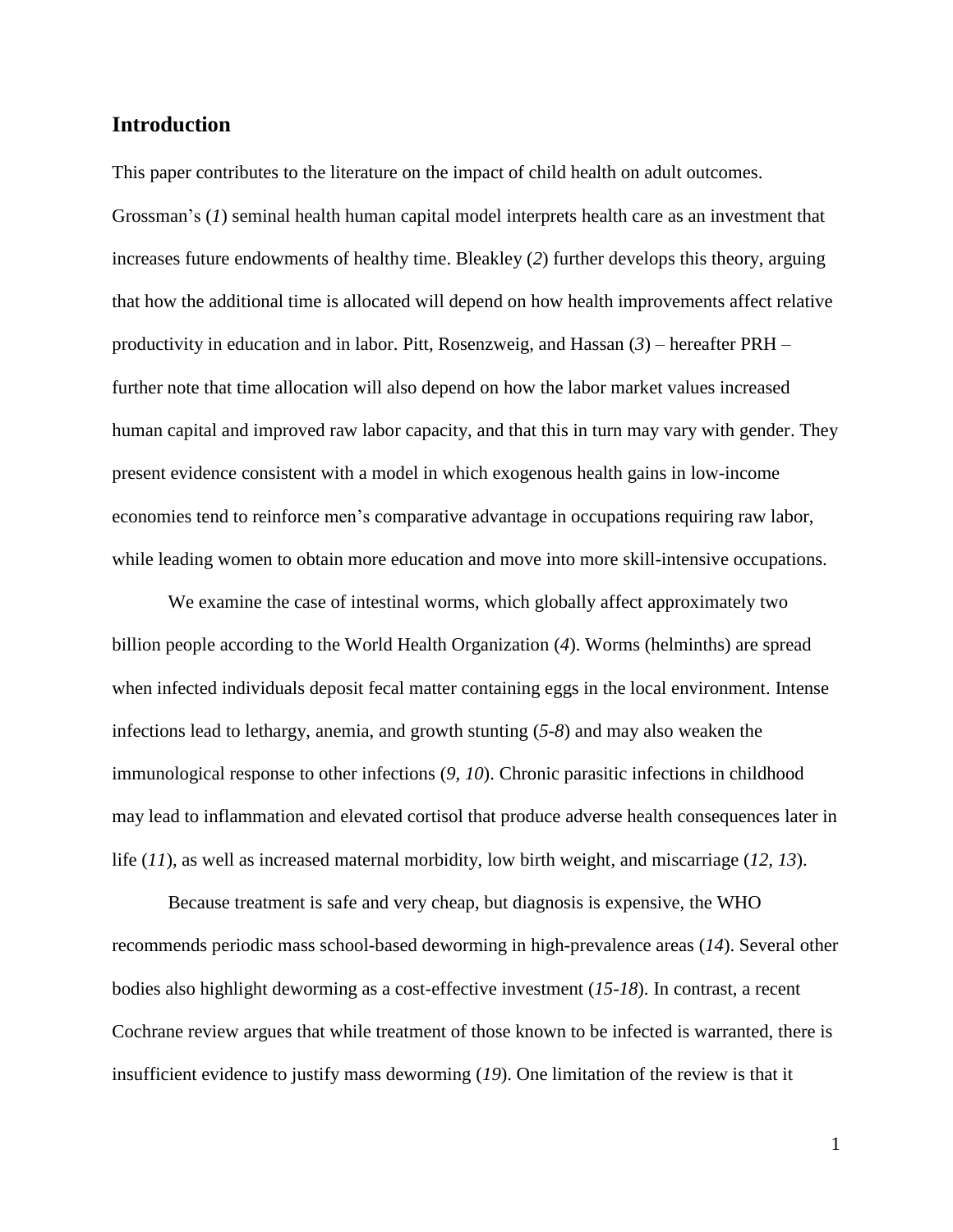# **Introduction**

This paper contributes to the literature on the impact of child health on adult outcomes. Grossman's (*1*) seminal health human capital model interprets health care as an investment that increases future endowments of healthy time. Bleakley (*2*) further develops this theory, arguing that how the additional time is allocated will depend on how health improvements affect relative productivity in education and in labor. Pitt, Rosenzweig, and Hassan (*3*) – hereafter PRH – further note that time allocation will also depend on how the labor market values increased human capital and improved raw labor capacity, and that this in turn may vary with gender. They present evidence consistent with a model in which exogenous health gains in low-income economies tend to reinforce men's comparative advantage in occupations requiring raw labor, while leading women to obtain more education and move into more skill-intensive occupations.

We examine the case of intestinal worms, which globally affect approximately two billion people according to the World Health Organization (*4*). Worms (helminths) are spread when infected individuals deposit fecal matter containing eggs in the local environment. Intense infections lead to lethargy, anemia, and growth stunting (*5-8*) and may also weaken the immunological response to other infections (*9, 10*). Chronic parasitic infections in childhood may lead to inflammation and elevated cortisol that produce adverse health consequences later in life (*11*), as well as increased maternal morbidity, low birth weight, and miscarriage (*12, 13*).

Because treatment is safe and very cheap, but diagnosis is expensive, the WHO recommends periodic mass school-based deworming in high-prevalence areas (*14*). Several other bodies also highlight deworming as a cost-effective investment (*15-18*). In contrast, a recent Cochrane review argues that while treatment of those known to be infected is warranted, there is insufficient evidence to justify mass deworming (*19*). One limitation of the review is that it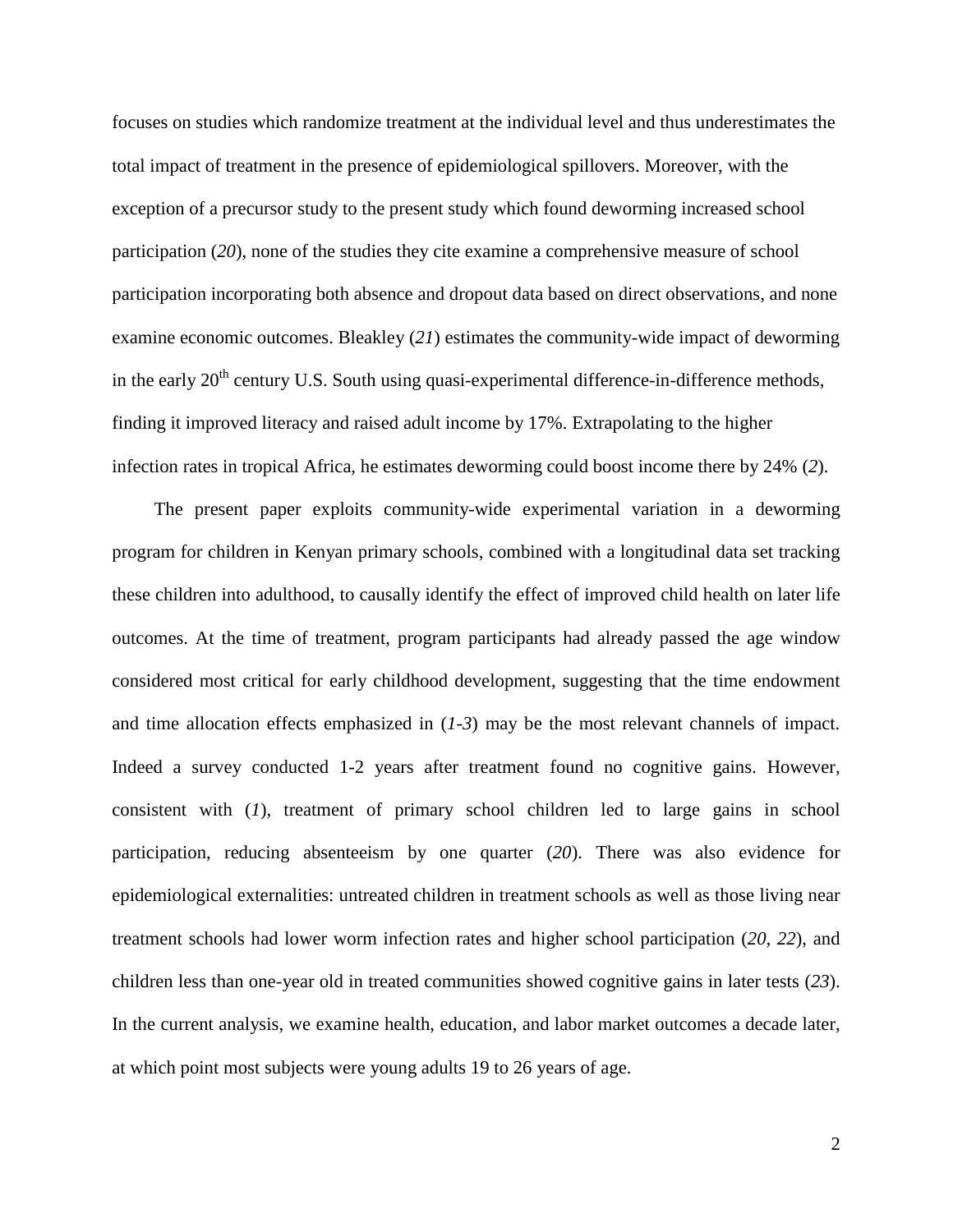focuses on studies which randomize treatment at the individual level and thus underestimates the total impact of treatment in the presence of epidemiological spillovers. Moreover, with the exception of a precursor study to the present study which found deworming increased school participation (*20*), none of the studies they cite examine a comprehensive measure of school participation incorporating both absence and dropout data based on direct observations, and none examine economic outcomes. Bleakley (*21*) estimates the community-wide impact of deworming in the early  $20<sup>th</sup>$  century U.S. South using quasi-experimental difference-in-difference methods, finding it improved literacy and raised adult income by 17%. Extrapolating to the higher infection rates in tropical Africa, he estimates deworming could boost income there by 24% (*2*).

The present paper exploits community-wide experimental variation in a deworming program for children in Kenyan primary schools, combined with a longitudinal data set tracking these children into adulthood, to causally identify the effect of improved child health on later life outcomes. At the time of treatment, program participants had already passed the age window considered most critical for early childhood development, suggesting that the time endowment and time allocation effects emphasized in (*1-3*) may be the most relevant channels of impact. Indeed a survey conducted 1-2 years after treatment found no cognitive gains. However, consistent with (*1*), treatment of primary school children led to large gains in school participation, reducing absenteeism by one quarter (*20*). There was also evidence for epidemiological externalities: untreated children in treatment schools as well as those living near treatment schools had lower worm infection rates and higher school participation (*20, 22*), and children less than one-year old in treated communities showed cognitive gains in later tests (*23*). In the current analysis, we examine health, education, and labor market outcomes a decade later, at which point most subjects were young adults 19 to 26 years of age.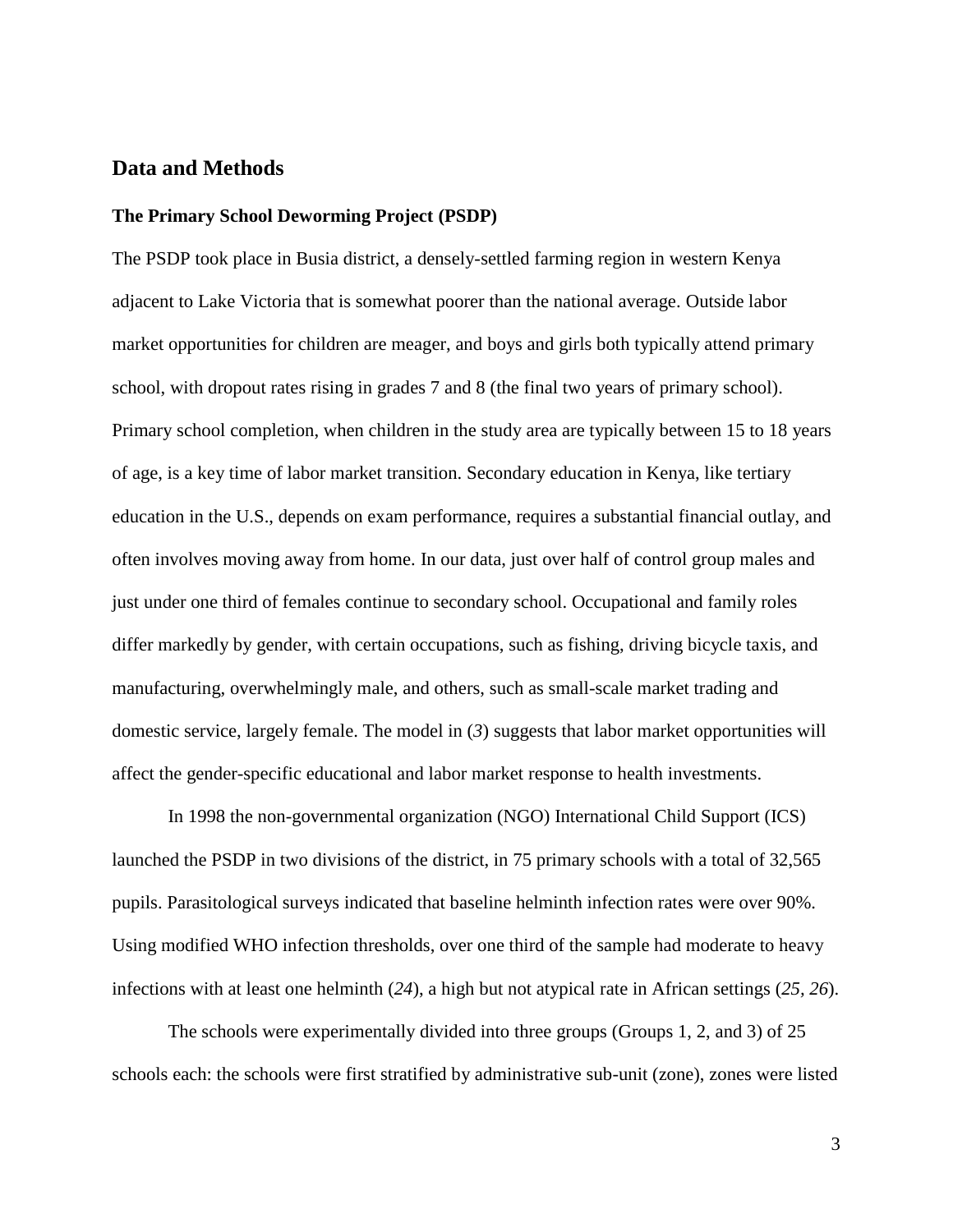# **Data and Methods**

#### **The Primary School Deworming Project (PSDP)**

The PSDP took place in Busia district, a densely-settled farming region in western Kenya adjacent to Lake Victoria that is somewhat poorer than the national average. Outside labor market opportunities for children are meager, and boys and girls both typically attend primary school, with dropout rates rising in grades 7 and 8 (the final two years of primary school). Primary school completion, when children in the study area are typically between 15 to 18 years of age, is a key time of labor market transition. Secondary education in Kenya, like tertiary education in the U.S., depends on exam performance, requires a substantial financial outlay, and often involves moving away from home. In our data, just over half of control group males and just under one third of females continue to secondary school. Occupational and family roles differ markedly by gender, with certain occupations, such as fishing, driving bicycle taxis, and manufacturing, overwhelmingly male, and others, such as small-scale market trading and domestic service, largely female. The model in (*3*) suggests that labor market opportunities will affect the gender-specific educational and labor market response to health investments.

In 1998 the non-governmental organization (NGO) International Child Support (ICS) launched the PSDP in two divisions of the district, in 75 primary schools with a total of 32,565 pupils. Parasitological surveys indicated that baseline helminth infection rates were over 90%. Using modified WHO infection thresholds, over one third of the sample had moderate to heavy infections with at least one helminth (*24*), a high but not atypical rate in African settings (*25, 26*).

The schools were experimentally divided into three groups (Groups 1, 2, and 3) of 25 schools each: the schools were first stratified by administrative sub-unit (zone), zones were listed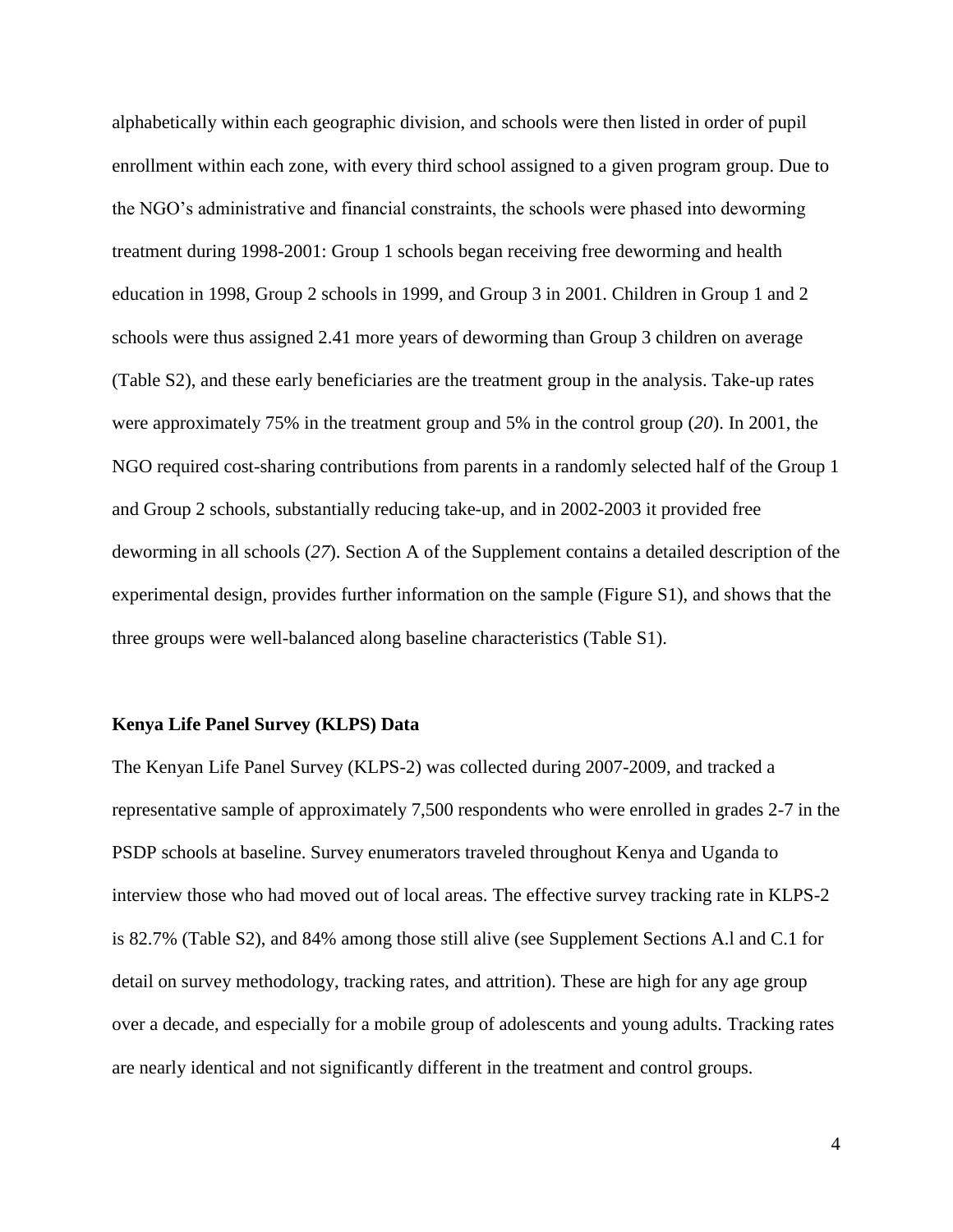alphabetically within each geographic division, and schools were then listed in order of pupil enrollment within each zone, with every third school assigned to a given program group. Due to the NGO's administrative and financial constraints, the schools were phased into deworming treatment during 1998-2001: Group 1 schools began receiving free deworming and health education in 1998, Group 2 schools in 1999, and Group 3 in 2001. Children in Group 1 and 2 schools were thus assigned 2.41 more years of deworming than Group 3 children on average (Table S2), and these early beneficiaries are the treatment group in the analysis. Take-up rates were approximately 75% in the treatment group and 5% in the control group (*20*). In 2001, the NGO required cost-sharing contributions from parents in a randomly selected half of the Group 1 and Group 2 schools, substantially reducing take-up, and in 2002-2003 it provided free deworming in all schools (*27*). Section A of the Supplement contains a detailed description of the experimental design, provides further information on the sample (Figure S1), and shows that the three groups were well-balanced along baseline characteristics (Table S1).

### **Kenya Life Panel Survey (KLPS) Data**

The Kenyan Life Panel Survey (KLPS-2) was collected during 2007-2009, and tracked a representative sample of approximately 7,500 respondents who were enrolled in grades 2-7 in the PSDP schools at baseline. Survey enumerators traveled throughout Kenya and Uganda to interview those who had moved out of local areas. The effective survey tracking rate in KLPS-2 is 82.7% (Table S2), and 84% among those still alive (see Supplement Sections A.l and C.1 for detail on survey methodology, tracking rates, and attrition). These are high for any age group over a decade, and especially for a mobile group of adolescents and young adults. Tracking rates are nearly identical and not significantly different in the treatment and control groups.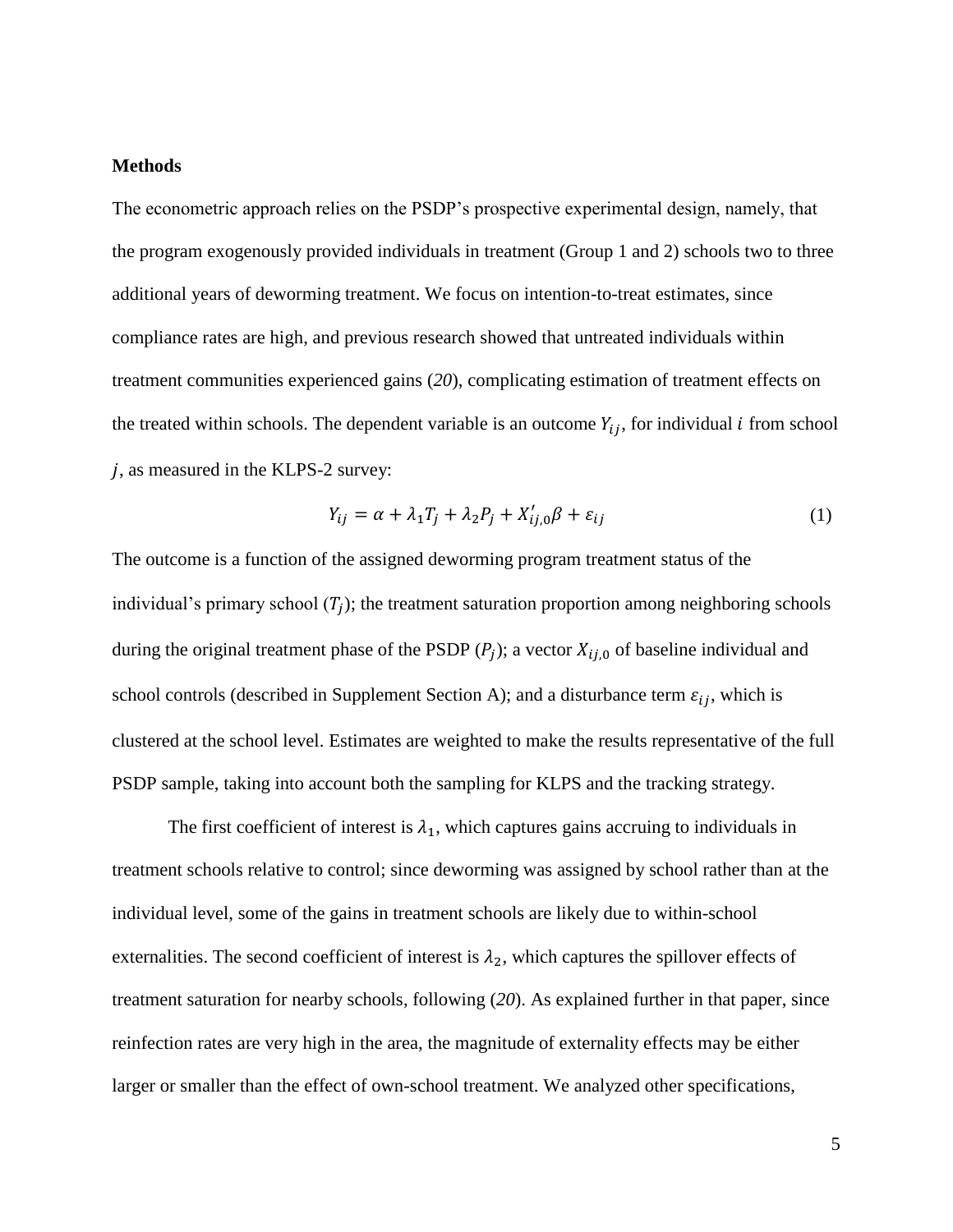## **Methods**

The econometric approach relies on the PSDP's prospective experimental design, namely, that the program exogenously provided individuals in treatment (Group 1 and 2) schools two to three additional years of deworming treatment. We focus on intention-to-treat estimates, since compliance rates are high, and previous research showed that untreated individuals within treatment communities experienced gains (*20*), complicating estimation of treatment effects on the treated within schools. The dependent variable is an outcome  $Y_{ij}$ , for individual *i* from school , as measured in the KLPS-2 survey:

$$
Y_{ij} = \alpha + \lambda_1 T_j + \lambda_2 P_j + X'_{ij,0} \beta + \varepsilon_{ij}
$$
 (1)

The outcome is a function of the assigned deworming program treatment status of the individual's primary school  $(T_j)$ ; the treatment saturation proportion among neighboring schools during the original treatment phase of the PSDP  $(P_j)$ ; a vector  $X_{ij,0}$  of baseline individual and school controls (described in Supplement Section A); and a disturbance term  $\varepsilon_{ij}$ , which is clustered at the school level. Estimates are weighted to make the results representative of the full PSDP sample, taking into account both the sampling for KLPS and the tracking strategy.

The first coefficient of interest is  $\lambda_1$ , which captures gains accruing to individuals in treatment schools relative to control; since deworming was assigned by school rather than at the individual level, some of the gains in treatment schools are likely due to within-school externalities. The second coefficient of interest is  $\lambda_2$ , which captures the spillover effects of treatment saturation for nearby schools, following (*20*). As explained further in that paper, since reinfection rates are very high in the area, the magnitude of externality effects may be either larger or smaller than the effect of own-school treatment. We analyzed other specifications,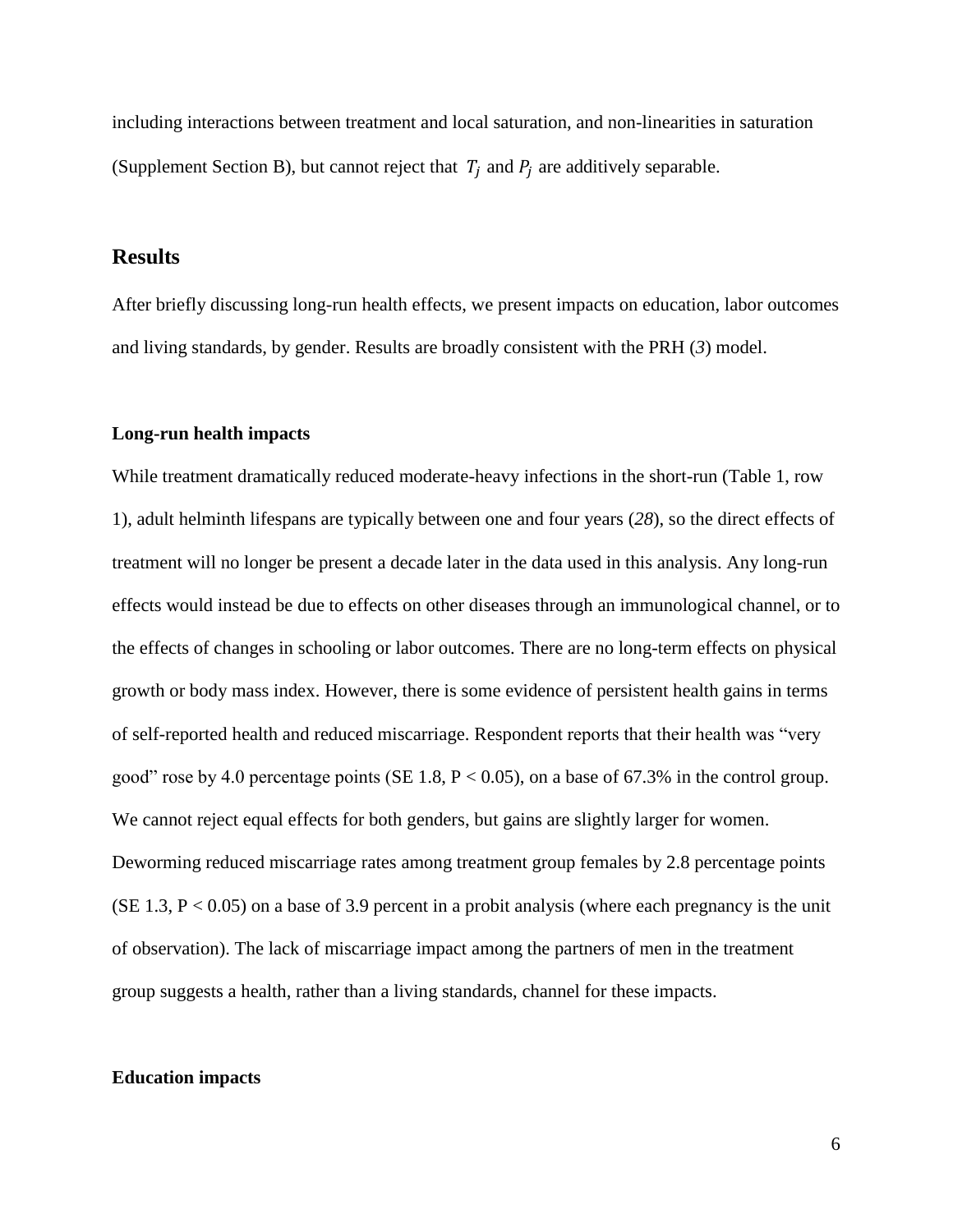including interactions between treatment and local saturation, and non-linearities in saturation (Supplement Section B), but cannot reject that  $T_i$  and  $P_i$  are additively separable.

# **Results**

After briefly discussing long-run health effects, we present impacts on education, labor outcomes and living standards, by gender. Results are broadly consistent with the PRH (*3*) model.

## **Long-run health impacts**

While treatment dramatically reduced moderate-heavy infections in the short-run (Table 1, row 1), adult helminth lifespans are typically between one and four years (*28*), so the direct effects of treatment will no longer be present a decade later in the data used in this analysis. Any long-run effects would instead be due to effects on other diseases through an immunological channel, or to the effects of changes in schooling or labor outcomes. There are no long-term effects on physical growth or body mass index. However, there is some evidence of persistent health gains in terms of self-reported health and reduced miscarriage. Respondent reports that their health was "very good" rose by 4.0 percentage points (SE 1.8,  $P < 0.05$ ), on a base of 67.3% in the control group. We cannot reject equal effects for both genders, but gains are slightly larger for women. Deworming reduced miscarriage rates among treatment group females by 2.8 percentage points  $(SE\ 1.3, P < 0.05)$  on a base of 3.9 percent in a probit analysis (where each pregnancy is the unit of observation). The lack of miscarriage impact among the partners of men in the treatment group suggests a health, rather than a living standards, channel for these impacts.

## **Education impacts**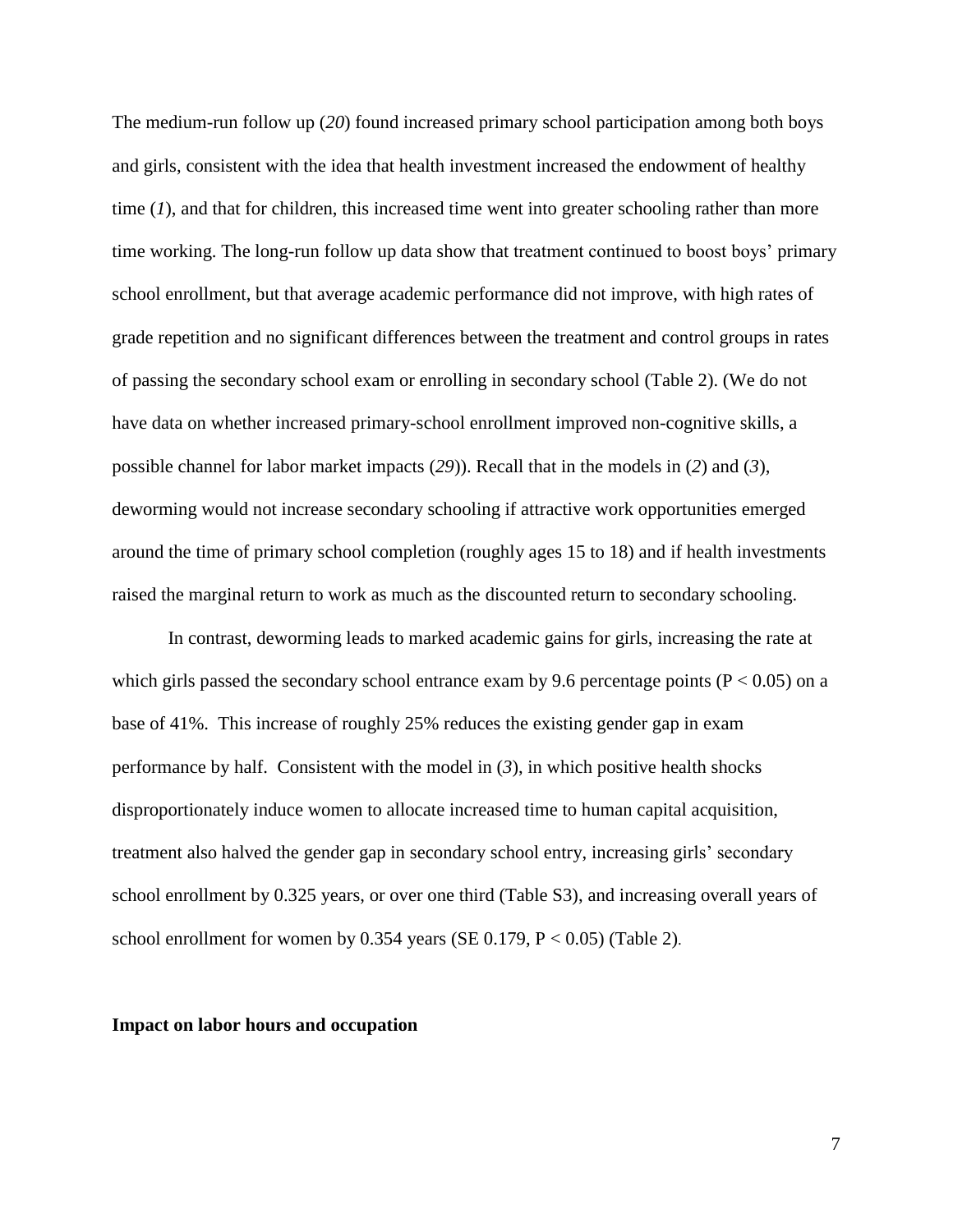The medium-run follow up (*20*) found increased primary school participation among both boys and girls, consistent with the idea that health investment increased the endowment of healthy time (*1*), and that for children, this increased time went into greater schooling rather than more time working. The long-run follow up data show that treatment continued to boost boys' primary school enrollment, but that average academic performance did not improve, with high rates of grade repetition and no significant differences between the treatment and control groups in rates of passing the secondary school exam or enrolling in secondary school (Table 2). (We do not have data on whether increased primary-school enrollment improved non-cognitive skills, a possible channel for labor market impacts (*29*)). Recall that in the models in (*2*) and (*3*), deworming would not increase secondary schooling if attractive work opportunities emerged around the time of primary school completion (roughly ages 15 to 18) and if health investments raised the marginal return to work as much as the discounted return to secondary schooling.

In contrast, deworming leads to marked academic gains for girls, increasing the rate at which girls passed the secondary school entrance exam by 9.6 percentage points ( $P < 0.05$ ) on a base of 41%. This increase of roughly 25% reduces the existing gender gap in exam performance by half. Consistent with the model in (*3*), in which positive health shocks disproportionately induce women to allocate increased time to human capital acquisition, treatment also halved the gender gap in secondary school entry, increasing girls' secondary school enrollment by 0.325 years, or over one third (Table S3), and increasing overall years of school enrollment for women by  $0.354$  years (SE 0.179, P < 0.05) (Table 2).

### **Impact on labor hours and occupation**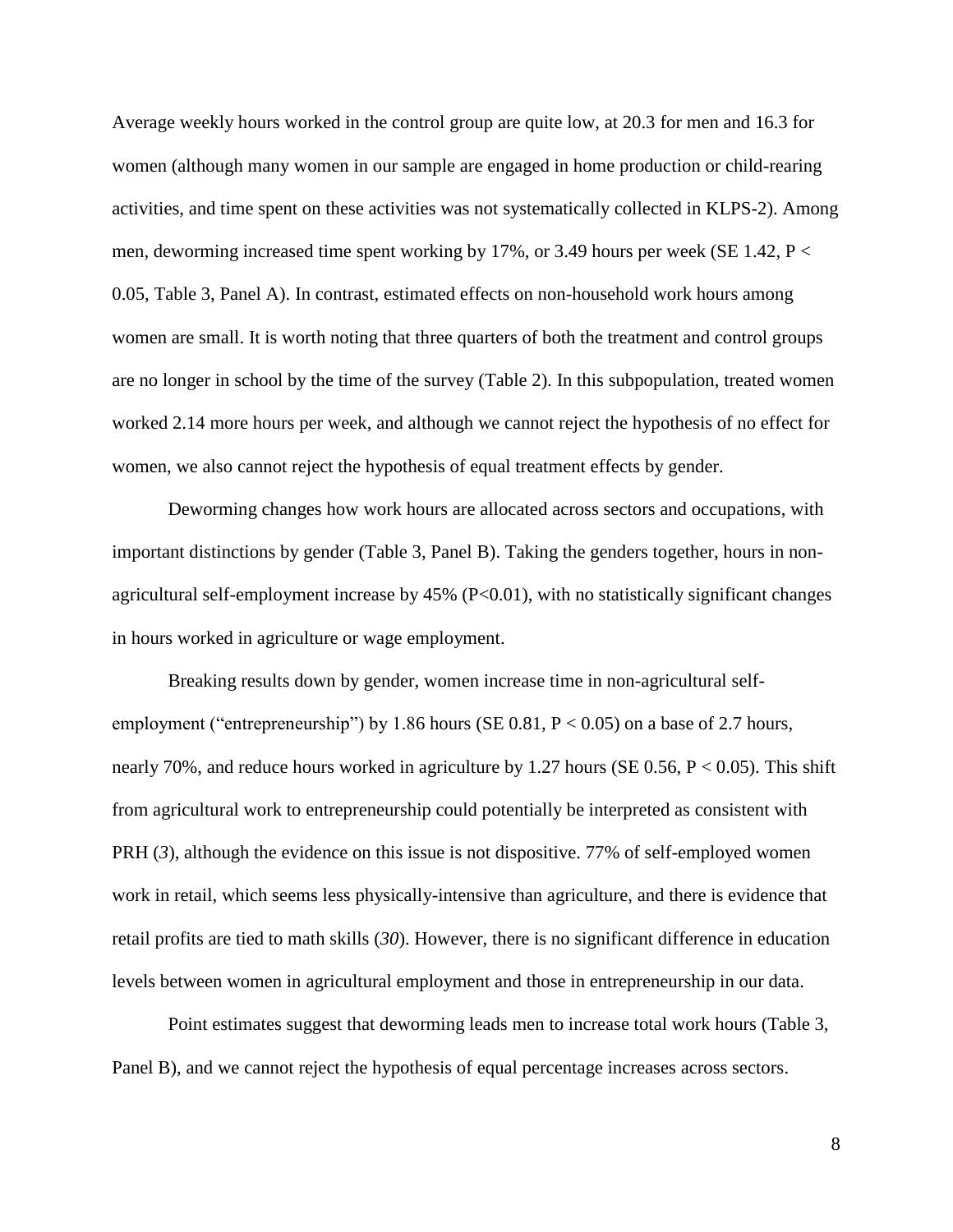Average weekly hours worked in the control group are quite low, at 20.3 for men and 16.3 for women (although many women in our sample are engaged in home production or child-rearing activities, and time spent on these activities was not systematically collected in KLPS-2). Among men, deworming increased time spent working by 17%, or 3.49 hours per week (SE 1.42,  $P \lt \theta$ ) 0.05, Table 3, Panel A). In contrast, estimated effects on non-household work hours among women are small. It is worth noting that three quarters of both the treatment and control groups are no longer in school by the time of the survey (Table 2). In this subpopulation, treated women worked 2.14 more hours per week, and although we cannot reject the hypothesis of no effect for women, we also cannot reject the hypothesis of equal treatment effects by gender.

Deworming changes how work hours are allocated across sectors and occupations, with important distinctions by gender (Table 3, Panel B). Taking the genders together, hours in nonagricultural self-employment increase by  $45\%$  (P $< 0.01$ ), with no statistically significant changes in hours worked in agriculture or wage employment.

Breaking results down by gender, women increase time in non-agricultural selfemployment ("entrepreneurship") by 1.86 hours (SE 0.81,  $P < 0.05$ ) on a base of 2.7 hours, nearly 70%, and reduce hours worked in agriculture by 1.27 hours (SE 0.56,  $P < 0.05$ ). This shift from agricultural work to entrepreneurship could potentially be interpreted as consistent with PRH (3), although the evidence on this issue is not dispositive. 77% of self-employed women work in retail, which seems less physically-intensive than agriculture, and there is evidence that retail profits are tied to math skills (*30*). However, there is no significant difference in education levels between women in agricultural employment and those in entrepreneurship in our data.

Point estimates suggest that deworming leads men to increase total work hours (Table 3, Panel B), and we cannot reject the hypothesis of equal percentage increases across sectors.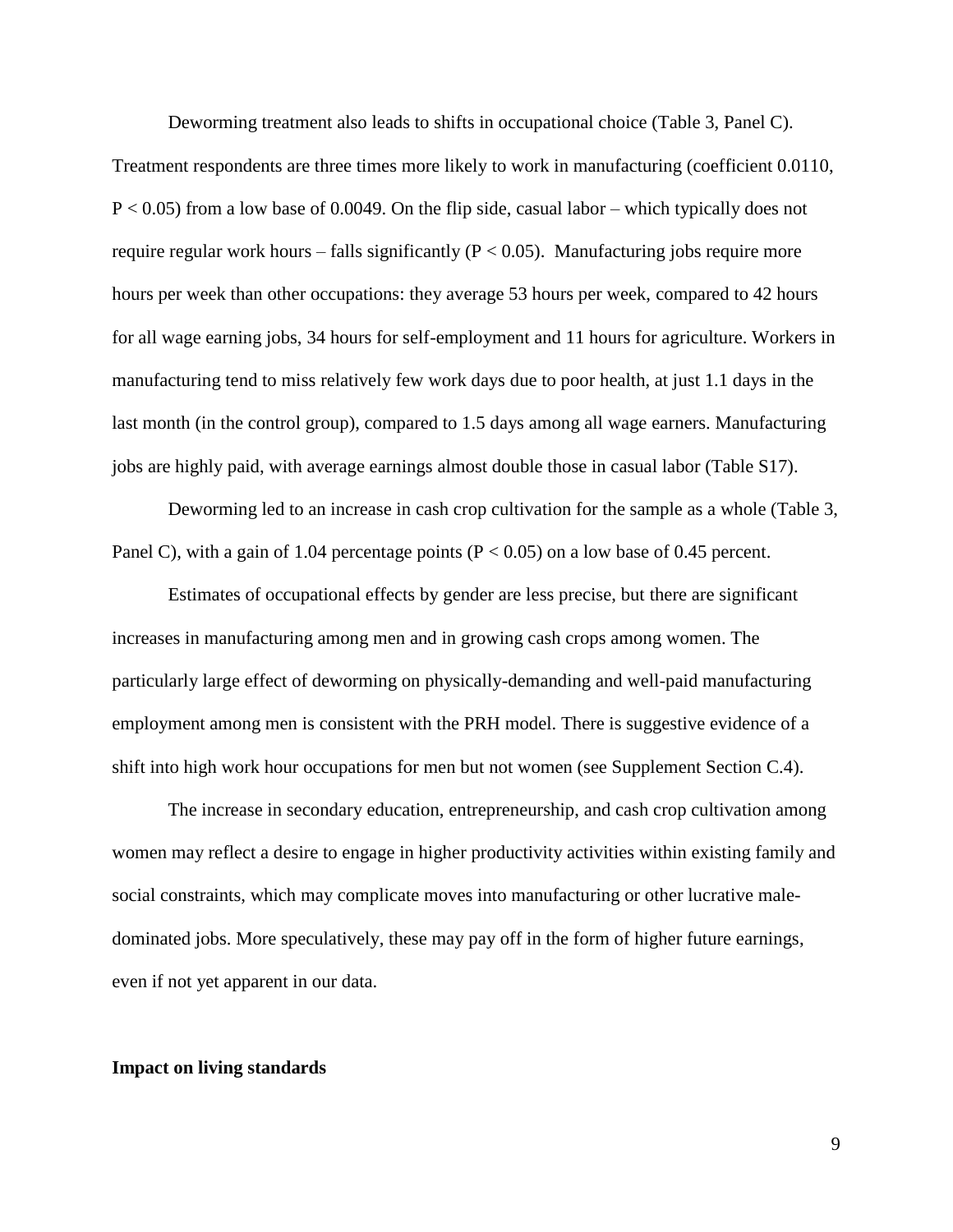Deworming treatment also leads to shifts in occupational choice (Table 3, Panel C). Treatment respondents are three times more likely to work in manufacturing (coefficient 0.0110,  $P < 0.05$ ) from a low base of 0.0049. On the flip side, casual labor – which typically does not require regular work hours – falls significantly ( $P < 0.05$ ). Manufacturing jobs require more hours per week than other occupations: they average 53 hours per week, compared to 42 hours for all wage earning jobs, 34 hours for self-employment and 11 hours for agriculture. Workers in manufacturing tend to miss relatively few work days due to poor health, at just 1.1 days in the last month (in the control group), compared to 1.5 days among all wage earners. Manufacturing jobs are highly paid, with average earnings almost double those in casual labor (Table S17).

Deworming led to an increase in cash crop cultivation for the sample as a whole (Table 3, Panel C), with a gain of 1.04 percentage points ( $P < 0.05$ ) on a low base of 0.45 percent.

Estimates of occupational effects by gender are less precise, but there are significant increases in manufacturing among men and in growing cash crops among women. The particularly large effect of deworming on physically-demanding and well-paid manufacturing employment among men is consistent with the PRH model. There is suggestive evidence of a shift into high work hour occupations for men but not women (see Supplement Section C.4).

The increase in secondary education, entrepreneurship, and cash crop cultivation among women may reflect a desire to engage in higher productivity activities within existing family and social constraints, which may complicate moves into manufacturing or other lucrative maledominated jobs. More speculatively, these may pay off in the form of higher future earnings, even if not yet apparent in our data.

#### **Impact on living standards**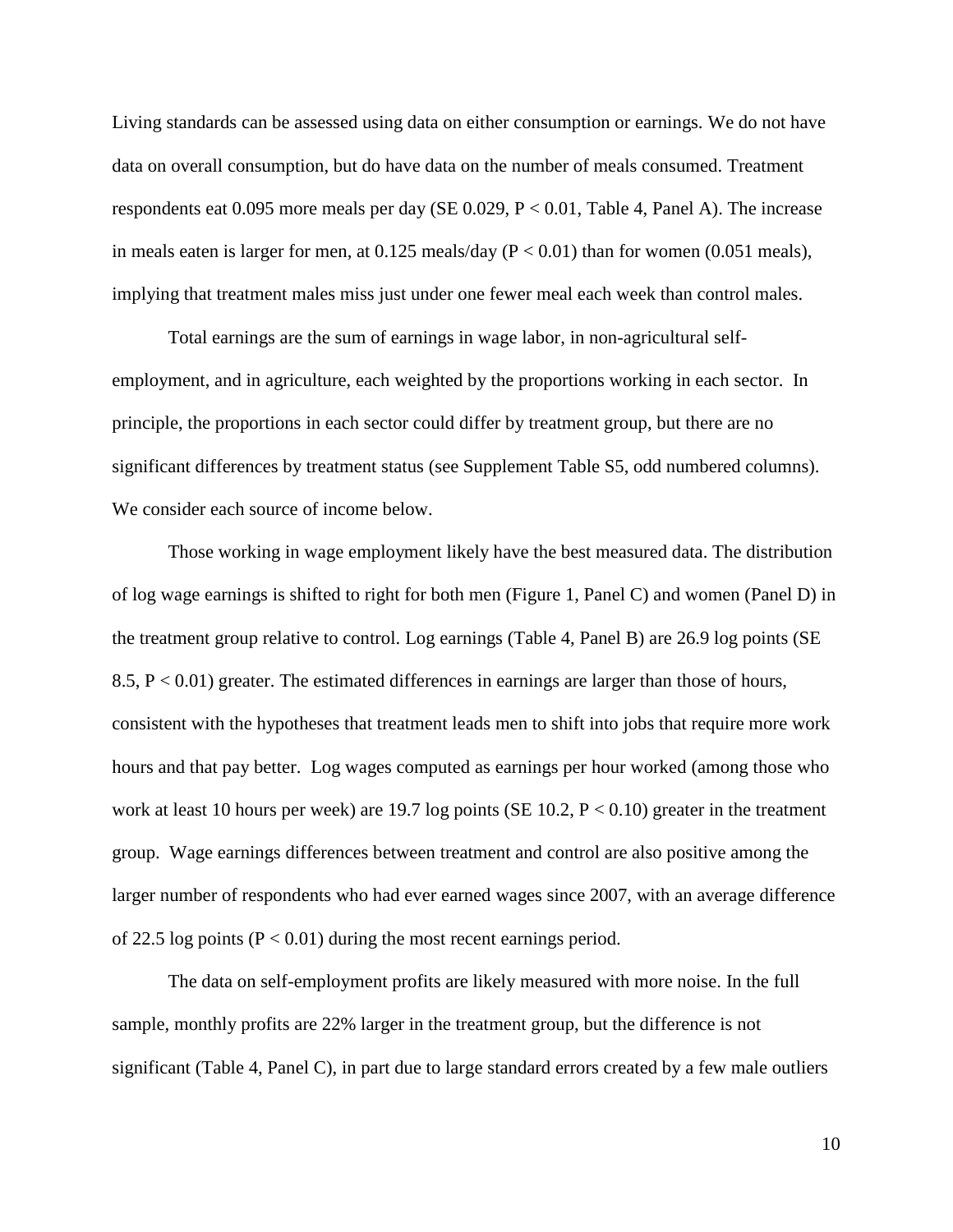Living standards can be assessed using data on either consumption or earnings. We do not have data on overall consumption, but do have data on the number of meals consumed. Treatment respondents eat 0.095 more meals per day (SE 0.029, P < 0.01, Table 4, Panel A). The increase in meals eaten is larger for men, at  $0.125$  meals/day ( $P < 0.01$ ) than for women (0.051 meals), implying that treatment males miss just under one fewer meal each week than control males.

Total earnings are the sum of earnings in wage labor, in non-agricultural selfemployment, and in agriculture, each weighted by the proportions working in each sector. In principle, the proportions in each sector could differ by treatment group, but there are no significant differences by treatment status (see Supplement Table S5, odd numbered columns). We consider each source of income below.

Those working in wage employment likely have the best measured data. The distribution of log wage earnings is shifted to right for both men (Figure 1, Panel C) and women (Panel D) in the treatment group relative to control. Log earnings (Table 4, Panel B) are 26.9 log points (SE 8.5,  $P < 0.01$ ) greater. The estimated differences in earnings are larger than those of hours, consistent with the hypotheses that treatment leads men to shift into jobs that require more work hours and that pay better. Log wages computed as earnings per hour worked (among those who work at least 10 hours per week) are 19.7 log points (SE 10.2,  $P < 0.10$ ) greater in the treatment group. Wage earnings differences between treatment and control are also positive among the larger number of respondents who had ever earned wages since 2007, with an average difference of 22.5 log points ( $P < 0.01$ ) during the most recent earnings period.

The data on self-employment profits are likely measured with more noise. In the full sample, monthly profits are 22% larger in the treatment group, but the difference is not significant (Table 4, Panel C), in part due to large standard errors created by a few male outliers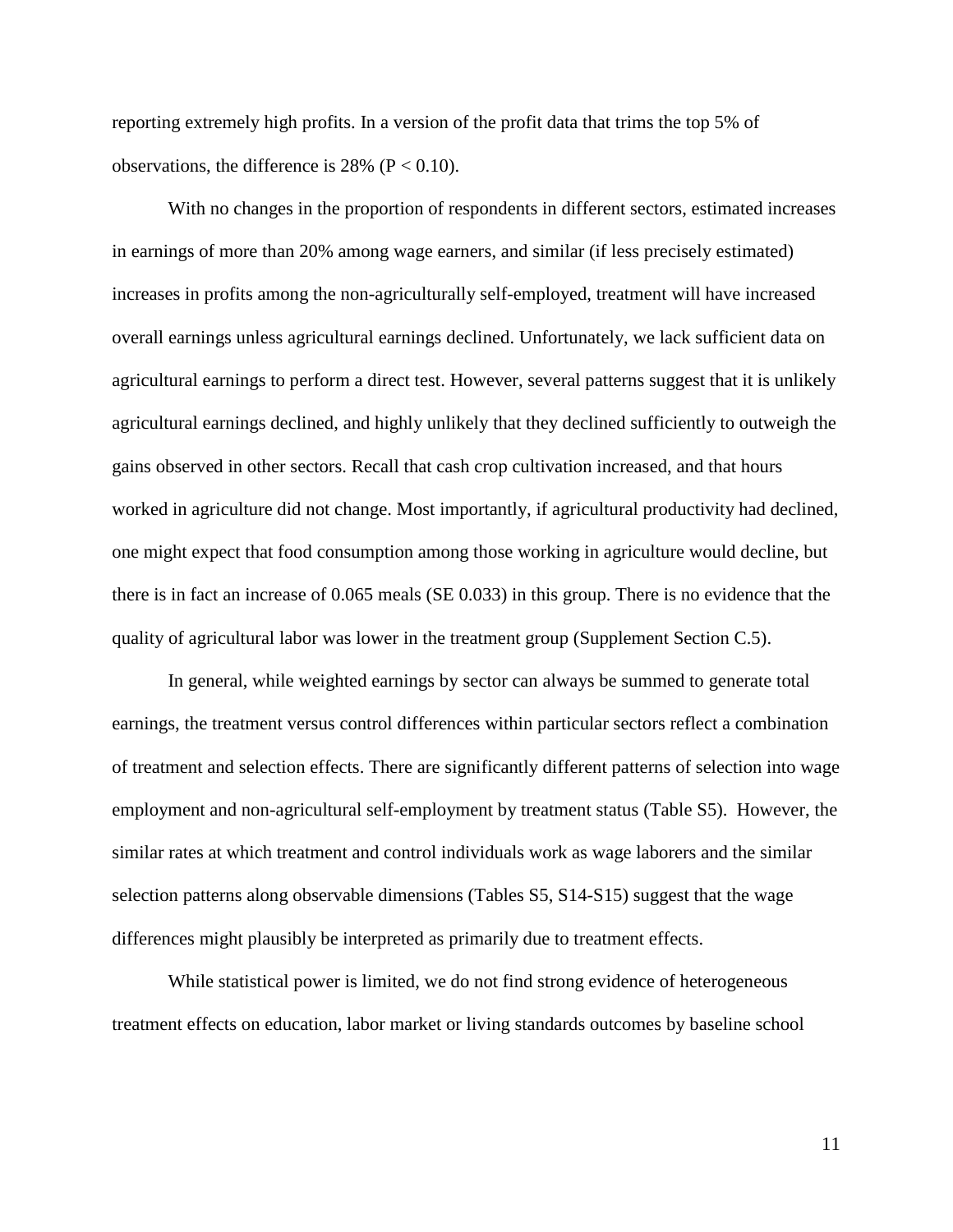reporting extremely high profits. In a version of the profit data that trims the top 5% of observations, the difference is  $28\%$  (P < 0.10).

With no changes in the proportion of respondents in different sectors, estimated increases in earnings of more than 20% among wage earners, and similar (if less precisely estimated) increases in profits among the non-agriculturally self-employed, treatment will have increased overall earnings unless agricultural earnings declined. Unfortunately, we lack sufficient data on agricultural earnings to perform a direct test. However, several patterns suggest that it is unlikely agricultural earnings declined, and highly unlikely that they declined sufficiently to outweigh the gains observed in other sectors. Recall that cash crop cultivation increased, and that hours worked in agriculture did not change. Most importantly, if agricultural productivity had declined, one might expect that food consumption among those working in agriculture would decline, but there is in fact an increase of 0.065 meals (SE 0.033) in this group. There is no evidence that the quality of agricultural labor was lower in the treatment group (Supplement Section C.5).

In general, while weighted earnings by sector can always be summed to generate total earnings, the treatment versus control differences within particular sectors reflect a combination of treatment and selection effects. There are significantly different patterns of selection into wage employment and non-agricultural self-employment by treatment status (Table S5). However, the similar rates at which treatment and control individuals work as wage laborers and the similar selection patterns along observable dimensions (Tables S5, S14-S15) suggest that the wage differences might plausibly be interpreted as primarily due to treatment effects.

While statistical power is limited, we do not find strong evidence of heterogeneous treatment effects on education, labor market or living standards outcomes by baseline school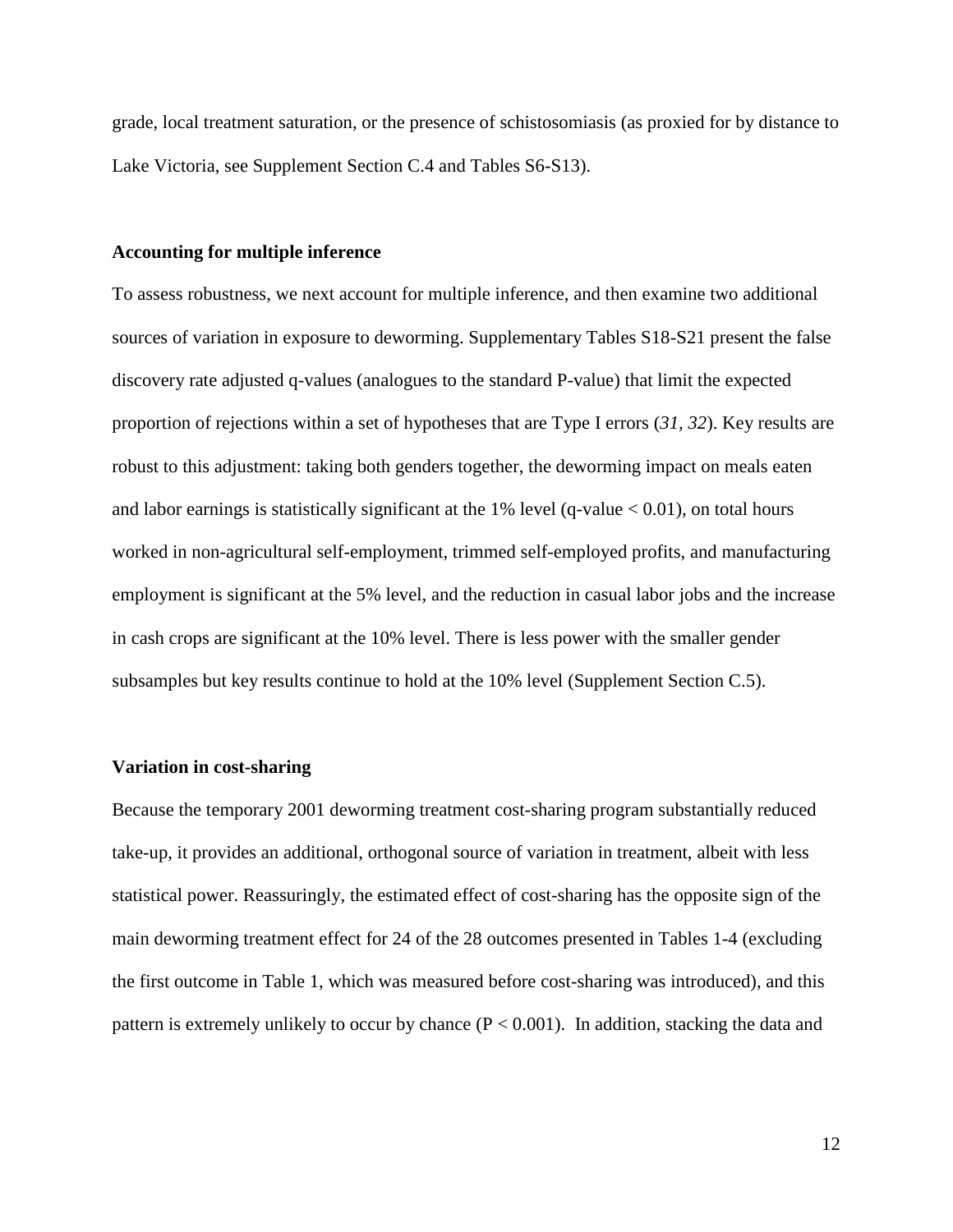grade, local treatment saturation, or the presence of schistosomiasis (as proxied for by distance to Lake Victoria, see Supplement Section C.4 and Tables S6-S13).

## **Accounting for multiple inference**

To assess robustness, we next account for multiple inference, and then examine two additional sources of variation in exposure to deworming. Supplementary Tables S18-S21 present the false discovery rate adjusted q-values (analogues to the standard P-value) that limit the expected proportion of rejections within a set of hypotheses that are Type I errors (*31, 32*). Key results are robust to this adjustment: taking both genders together, the deworming impact on meals eaten and labor earnings is statistically significant at the 1% level (q-value  $< 0.01$ ), on total hours worked in non-agricultural self-employment, trimmed self-employed profits, and manufacturing employment is significant at the 5% level, and the reduction in casual labor jobs and the increase in cash crops are significant at the 10% level. There is less power with the smaller gender subsamples but key results continue to hold at the 10% level (Supplement Section C.5).

## **Variation in cost-sharing**

Because the temporary 2001 deworming treatment cost-sharing program substantially reduced take-up, it provides an additional, orthogonal source of variation in treatment, albeit with less statistical power. Reassuringly, the estimated effect of cost-sharing has the opposite sign of the main deworming treatment effect for 24 of the 28 outcomes presented in Tables 1-4 (excluding the first outcome in Table 1, which was measured before cost-sharing was introduced), and this pattern is extremely unlikely to occur by chance  $(P < 0.001)$ . In addition, stacking the data and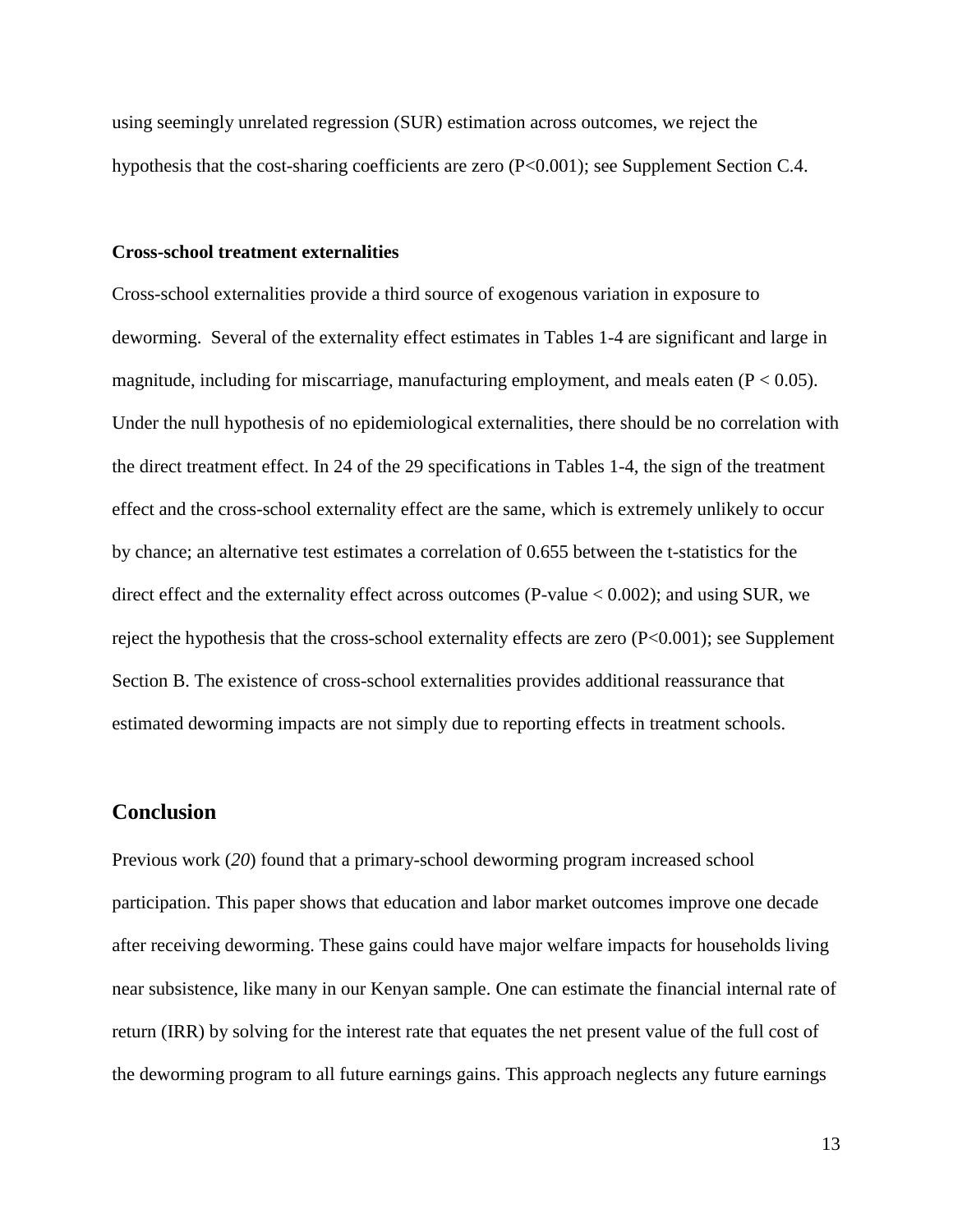using seemingly unrelated regression (SUR) estimation across outcomes, we reject the hypothesis that the cost-sharing coefficients are zero (P<0.001); see Supplement Section C.4.

## **Cross-school treatment externalities**

Cross-school externalities provide a third source of exogenous variation in exposure to deworming. Several of the externality effect estimates in Tables 1-4 are significant and large in magnitude, including for miscarriage, manufacturing employment, and meals eaten  $(P < 0.05)$ . Under the null hypothesis of no epidemiological externalities, there should be no correlation with the direct treatment effect. In 24 of the 29 specifications in Tables 1-4, the sign of the treatment effect and the cross-school externality effect are the same, which is extremely unlikely to occur by chance; an alternative test estimates a correlation of 0.655 between the t-statistics for the direct effect and the externality effect across outcomes (P-value < 0.002); and using SUR, we reject the hypothesis that the cross-school externality effects are zero (P<0.001); see Supplement Section B. The existence of cross-school externalities provides additional reassurance that estimated deworming impacts are not simply due to reporting effects in treatment schools.

# **Conclusion**

Previous work (*20*) found that a primary-school deworming program increased school participation. This paper shows that education and labor market outcomes improve one decade after receiving deworming. These gains could have major welfare impacts for households living near subsistence, like many in our Kenyan sample. One can estimate the financial internal rate of return (IRR) by solving for the interest rate that equates the net present value of the full cost of the deworming program to all future earnings gains. This approach neglects any future earnings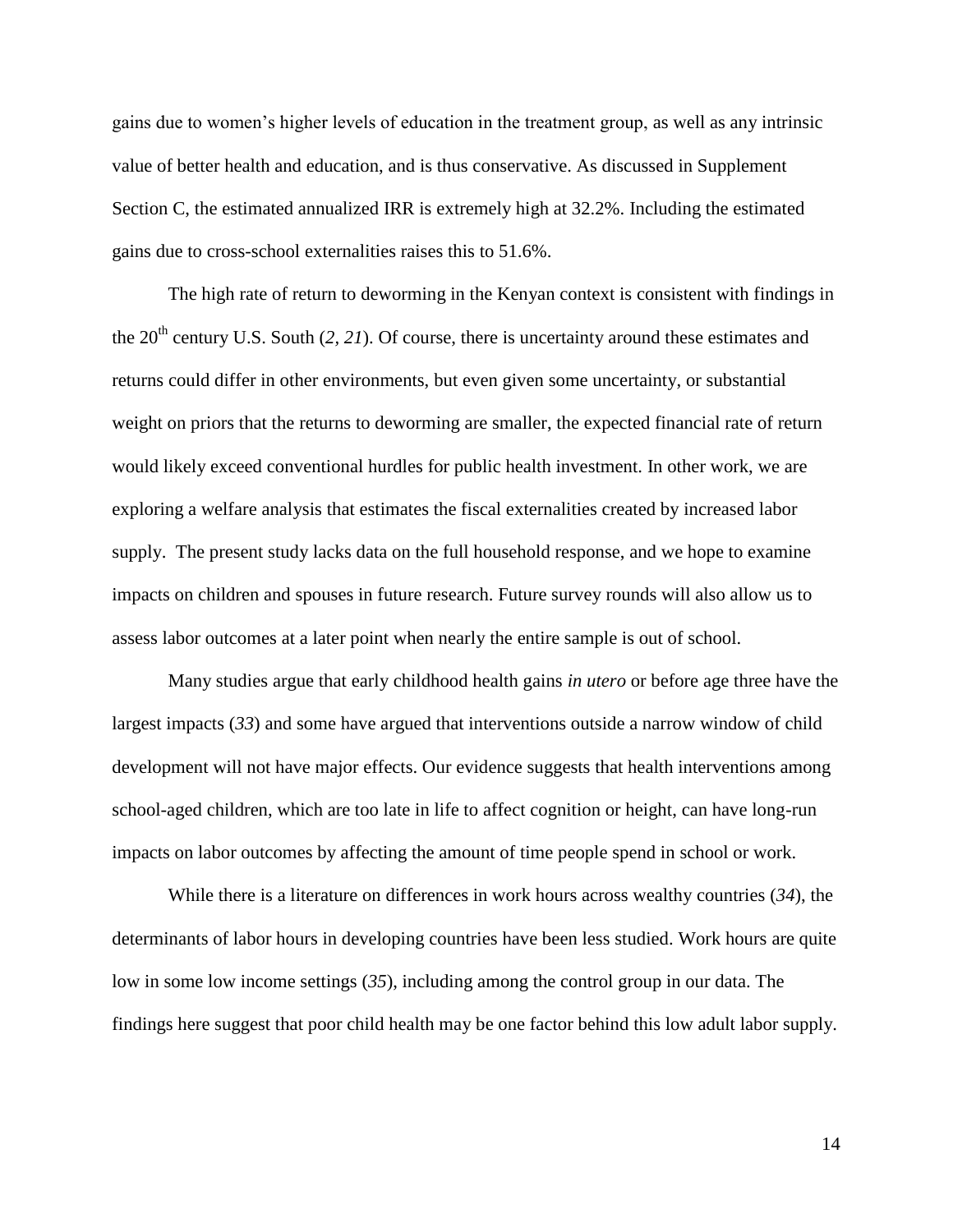gains due to women's higher levels of education in the treatment group, as well as any intrinsic value of better health and education, and is thus conservative. As discussed in Supplement Section C, the estimated annualized IRR is extremely high at 32.2%. Including the estimated gains due to cross-school externalities raises this to 51.6%.

The high rate of return to deworming in the Kenyan context is consistent with findings in the  $20<sup>th</sup>$  century U.S. South (2, 21). Of course, there is uncertainty around these estimates and returns could differ in other environments, but even given some uncertainty, or substantial weight on priors that the returns to deworming are smaller, the expected financial rate of return would likely exceed conventional hurdles for public health investment. In other work, we are exploring a welfare analysis that estimates the fiscal externalities created by increased labor supply. The present study lacks data on the full household response, and we hope to examine impacts on children and spouses in future research. Future survey rounds will also allow us to assess labor outcomes at a later point when nearly the entire sample is out of school.

Many studies argue that early childhood health gains *in utero* or before age three have the largest impacts (*33*) and some have argued that interventions outside a narrow window of child development will not have major effects. Our evidence suggests that health interventions among school-aged children, which are too late in life to affect cognition or height, can have long-run impacts on labor outcomes by affecting the amount of time people spend in school or work.

While there is a literature on differences in work hours across wealthy countries (*34*), the determinants of labor hours in developing countries have been less studied. Work hours are quite low in some low income settings (*35*), including among the control group in our data. The findings here suggest that poor child health may be one factor behind this low adult labor supply.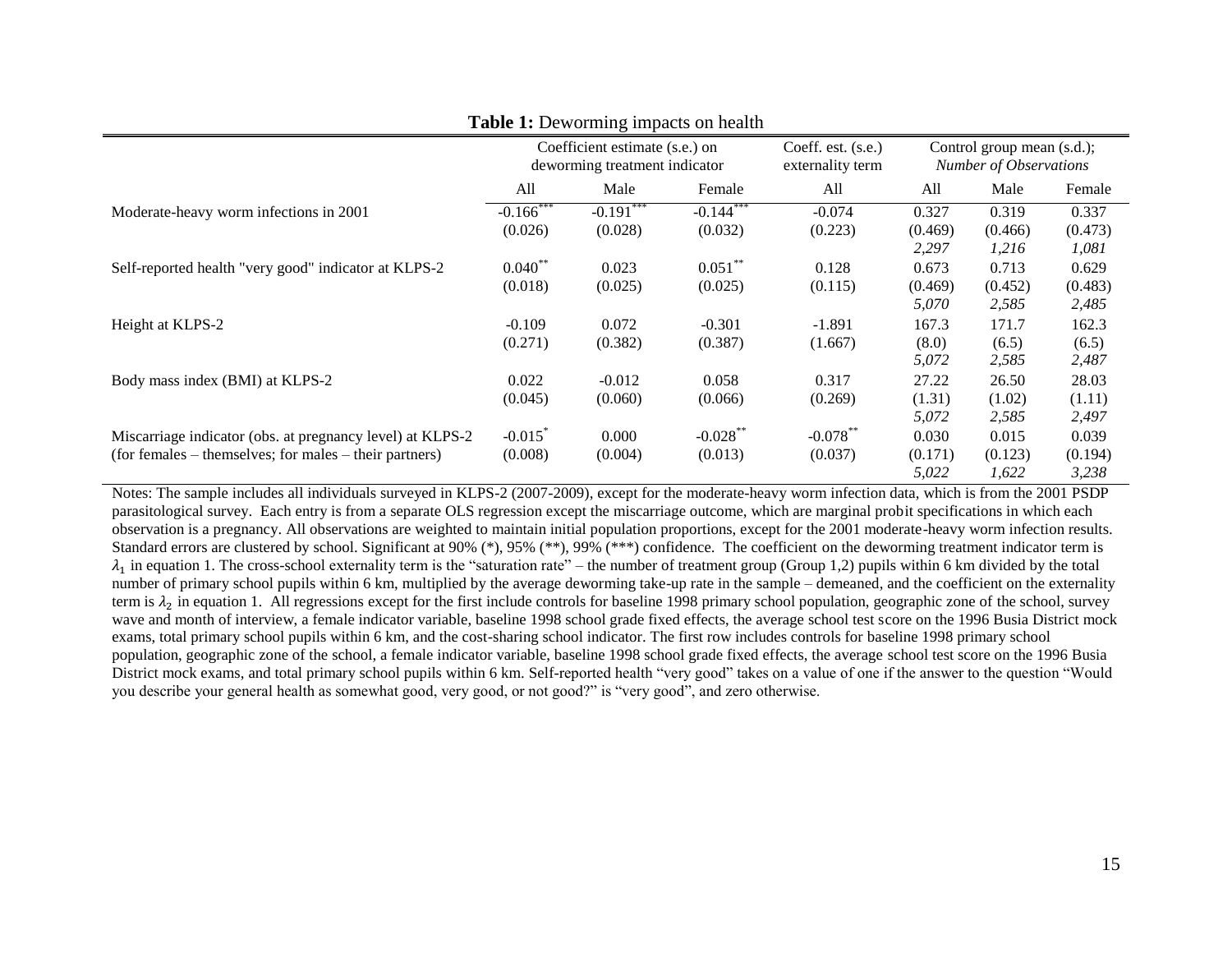|                                                           | Coefficient estimate (s.e.) on<br>deworming treatment indicator |             | Coeff. est. (s.e.)<br>externality term | Control group mean (s.d.);<br><b>Number of Observations</b> |                  |                  |                  |
|-----------------------------------------------------------|-----------------------------------------------------------------|-------------|----------------------------------------|-------------------------------------------------------------|------------------|------------------|------------------|
|                                                           | All                                                             | Male        | Female                                 | All                                                         | All              | Male             | Female           |
| Moderate-heavy worm infections in 2001                    | $-0.166$ ***                                                    | $-0.191***$ | $-0.144$ ***                           | $-0.074$                                                    | 0.327            | 0.319            | 0.337            |
|                                                           | (0.026)                                                         | (0.028)     | (0.032)                                | (0.223)                                                     | (0.469)<br>2,297 | (0.466)<br>1,216 | (0.473)<br>1,081 |
| Self-reported health "very good" indicator at KLPS-2      | $0.040***$                                                      | 0.023       | $0.051***$                             | 0.128                                                       | 0.673            | 0.713            | 0.629            |
|                                                           | (0.018)                                                         | (0.025)     | (0.025)                                | (0.115)                                                     | (0.469)<br>5,070 | (0.452)<br>2,585 | (0.483)<br>2,485 |
| Height at KLPS-2                                          | $-0.109$                                                        | 0.072       | $-0.301$                               | $-1.891$                                                    | 167.3            | 171.7            | 162.3            |
|                                                           | (0.271)                                                         | (0.382)     | (0.387)                                | (1.667)                                                     | (8.0)<br>5,072   | (6.5)<br>2,585   | (6.5)<br>2,487   |
| Body mass index (BMI) at KLPS-2                           | 0.022                                                           | $-0.012$    | 0.058                                  | 0.317                                                       | 27.22            | 26.50            | 28.03            |
|                                                           | (0.045)                                                         | (0.060)     | (0.066)                                | (0.269)                                                     | (1.31)           | (1.02)           | (1.11)           |
|                                                           |                                                                 |             |                                        |                                                             | 5,072            | 2,585            | 2,497            |
| Miscarriage indicator (obs. at pregnancy level) at KLPS-2 | $-0.015$ <sup>*</sup>                                           | 0.000       | $-0.028$ **                            | $-0.078***$                                                 | 0.030            | 0.015            | 0.039            |
| (for females – themselves; for males – their partners)    | (0.008)                                                         | (0.004)     | (0.013)                                | (0.037)                                                     | (0.171)          | (0.123)          | (0.194)          |
|                                                           |                                                                 |             |                                        |                                                             | 5,022            | 1,622            | 3,238            |

**Table 1:** Deworming impacts on health

Notes: The sample includes all individuals surveyed in KLPS-2 (2007-2009), except for the moderate-heavy worm infection data, which is from the 2001 PSDP parasitological survey. Each entry is from a separate OLS regression except the miscarriage outcome, which are marginal probit specifications in which each observation is a pregnancy. All observations are weighted to maintain initial population proportions, except for the 2001 moderate-heavy worm infection results. Standard errors are clustered by school. Significant at 90% (\*), 95% (\*\*), 99% (\*\*\*) confidence. The coefficient on the deworming treatment indicator term is  $\lambda_1$  in equation 1. The cross-school externality term is the "saturation rate" – the number of treatment group (Group 1,2) pupils within 6 km divided by the total number of primary school pupils within 6 km, multiplied by the average deworming take-up rate in the sample – demeaned, and the coefficient on the externality term is  $\lambda_2$  in equation 1. All regressions except for the first include controls for baseline 1998 primary school population, geographic zone of the school, survey wave and month of interview, a female indicator variable, baseline 1998 school grade fixed effects, the average school test score on the 1996 Busia District mock exams, total primary school pupils within 6 km, and the cost-sharing school indicator. The first row includes controls for baseline 1998 primary school population, geographic zone of the school, a female indicator variable, baseline 1998 school grade fixed effects, the average school test score on the 1996 Busia District mock exams, and total primary school pupils within 6 km. Self-reported health "very good" takes on a value of one if the answer to the question "Would you describe your general health as somewhat good, very good, or not good?" is "very good", and zero otherwise.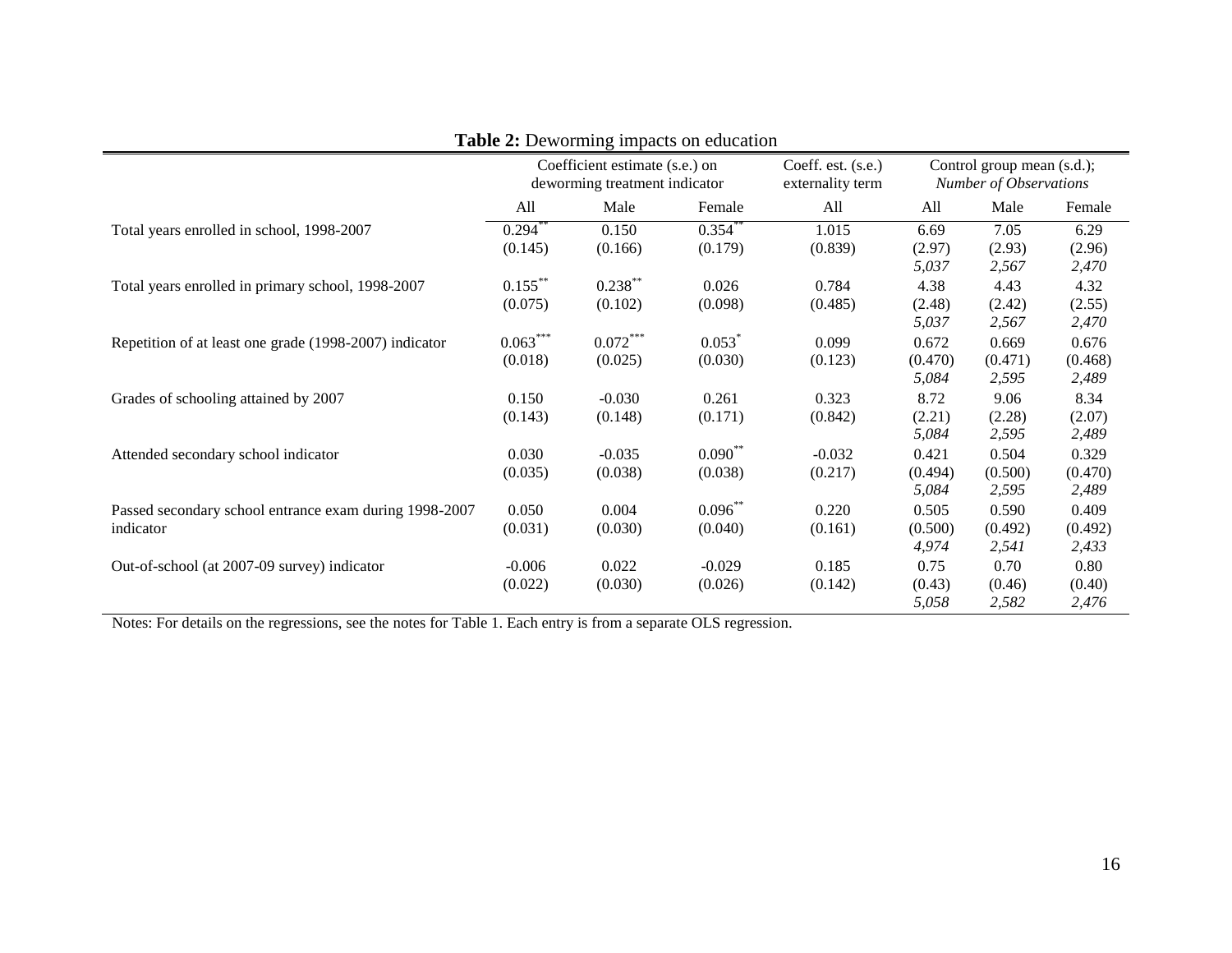|                                                                     | Coefficient estimate (s.e.) on<br>deworming treatment indicator |                       |                       | Coeff. est. (s.e.)<br>externality term | Control group mean (s.d.);<br><b>Number of Observations</b> |                           |                           |
|---------------------------------------------------------------------|-----------------------------------------------------------------|-----------------------|-----------------------|----------------------------------------|-------------------------------------------------------------|---------------------------|---------------------------|
|                                                                     | All                                                             | Male                  | Female                | All                                    | All                                                         | Male                      | Female                    |
| Total years enrolled in school, 1998-2007                           | 0.294<br>(0.145)                                                | 0.150<br>(0.166)      | 0.354<br>(0.179)      | 1.015<br>(0.839)                       | 6.69<br>(2.97)<br>5,037                                     | 7.05<br>(2.93)<br>2,567   | 6.29<br>(2.96)<br>2,470   |
| Total years enrolled in primary school, 1998-2007                   | $0.155***$<br>(0.075)                                           | $0.238***$<br>(0.102) | 0.026<br>(0.098)      | 0.784<br>(0.485)                       | 4.38<br>(2.48)<br>5,037                                     | 4.43<br>(2.42)<br>2,567   | 4.32<br>(2.55)<br>2,470   |
| Repetition of at least one grade (1998-2007) indicator              | $0.063***$<br>(0.018)                                           | $0.072***$<br>(0.025) | 0.053<br>(0.030)      | 0.099<br>(0.123)                       | 0.672<br>(0.470)<br>5,084                                   | 0.669<br>(0.471)<br>2,595 | 0.676<br>(0.468)<br>2,489 |
| Grades of schooling attained by 2007                                | 0.150<br>(0.143)                                                | $-0.030$<br>(0.148)   | 0.261<br>(0.171)      | 0.323<br>(0.842)                       | 8.72<br>(2.21)<br>5,084                                     | 9.06<br>(2.28)<br>2,595   | 8.34<br>(2.07)<br>2,489   |
| Attended secondary school indicator                                 | 0.030<br>(0.035)                                                | $-0.035$<br>(0.038)   | $0.090**$<br>(0.038)  | $-0.032$<br>(0.217)                    | 0.421<br>(0.494)<br>5,084                                   | 0.504<br>(0.500)<br>2,595 | 0.329<br>(0.470)<br>2,489 |
| Passed secondary school entrance exam during 1998-2007<br>indicator | 0.050<br>(0.031)                                                | 0.004<br>(0.030)      | $0.096***$<br>(0.040) | 0.220<br>(0.161)                       | 0.505<br>(0.500)<br>4,974                                   | 0.590<br>(0.492)<br>2,541 | 0.409<br>(0.492)<br>2,433 |
| Out-of-school (at 2007-09 survey) indicator                         | $-0.006$<br>(0.022)                                             | 0.022<br>(0.030)      | $-0.029$<br>(0.026)   | 0.185<br>(0.142)                       | 0.75<br>(0.43)<br>5,058                                     | 0.70<br>(0.46)<br>2,582   | 0.80<br>(0.40)<br>2,476   |

# **Table 2:** Deworming impacts on education

Notes: For details on the regressions, see the notes for Table 1. Each entry is from a separate OLS regression.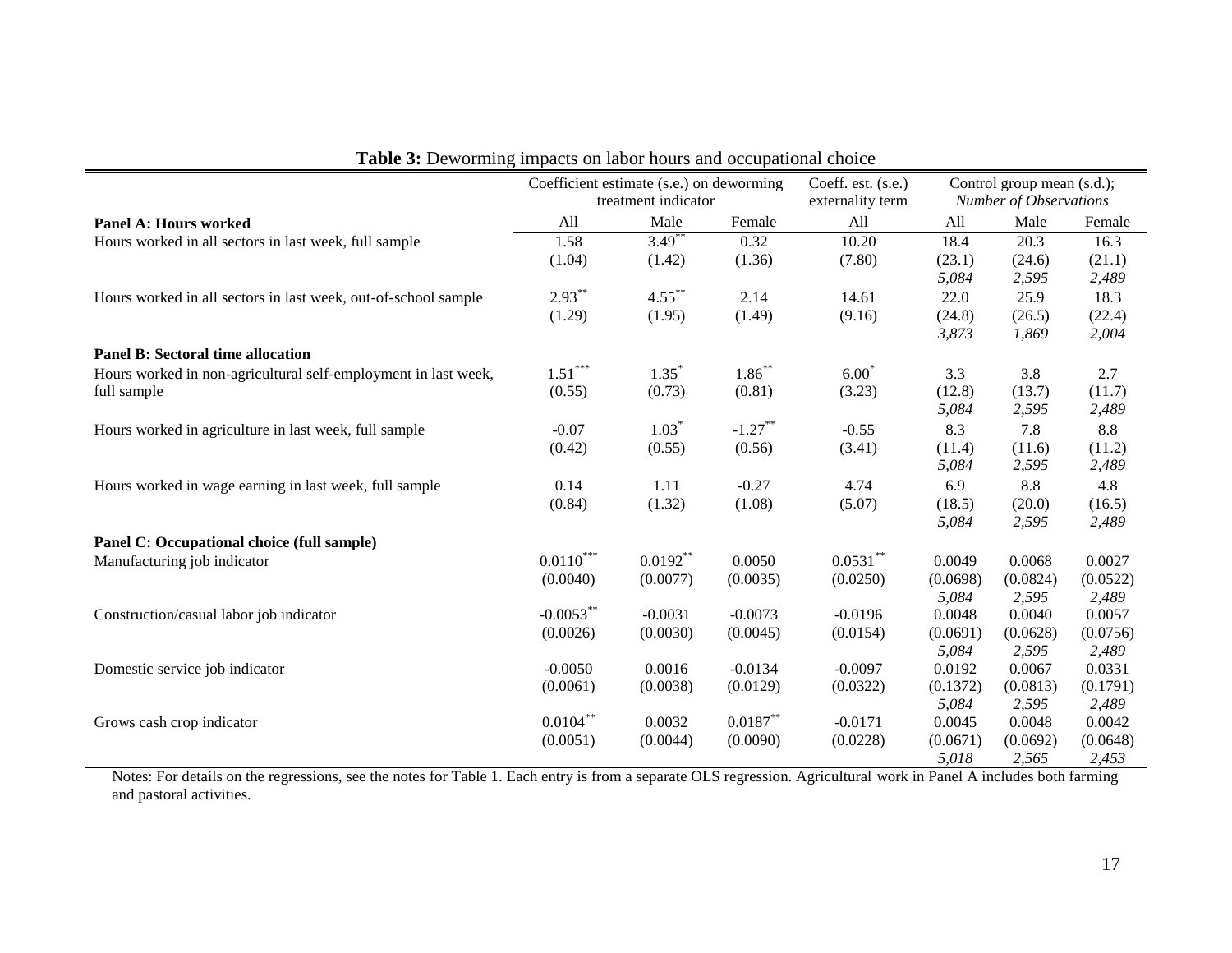|                                                                | Coefficient estimate (s.e.) on deworming<br>treatment indicator |            | Coeff. est. (s.e.)<br>externality term | Control group mean (s.d.);<br>Number of Observations |                 |                 |                 |
|----------------------------------------------------------------|-----------------------------------------------------------------|------------|----------------------------------------|------------------------------------------------------|-----------------|-----------------|-----------------|
| <b>Panel A: Hours worked</b>                                   | All                                                             | Male       | Female                                 | All                                                  | All             | Male            | Female          |
| Hours worked in all sectors in last week, full sample          | 1.58                                                            | $3.49*$    | 0.32                                   | 10.20                                                | 18.4            | 20.3            | 16.3            |
|                                                                | (1.04)                                                          | (1.42)     | (1.36)                                 | (7.80)                                               | (23.1)          | (24.6)          | (21.1)          |
|                                                                |                                                                 |            |                                        |                                                      | 5,084           | 2,595           | 2,489           |
| Hours worked in all sectors in last week, out-of-school sample | $2.93***$                                                       | $4.55***$  | 2.14                                   | 14.61                                                | 22.0            | 25.9            | 18.3            |
|                                                                | (1.29)                                                          | (1.95)     | (1.49)                                 | (9.16)                                               | (24.8)          | (26.5)          | (22.4)          |
|                                                                |                                                                 |            |                                        |                                                      | 3,873           | 1,869           | 2,004           |
| <b>Panel B: Sectoral time allocation</b>                       |                                                                 |            |                                        |                                                      |                 |                 |                 |
| Hours worked in non-agricultural self-employment in last week, | $1.51***$                                                       | $1.35^*$   | $1.86***$                              | $6.00*$                                              | 3.3             | 3.8             | 2.7             |
| full sample                                                    | (0.55)                                                          | (0.73)     | (0.81)                                 | (3.23)                                               | (12.8)          | (13.7)          | (11.7)          |
|                                                                |                                                                 |            |                                        |                                                      | 5,084           | 2,595           | 2,489           |
| Hours worked in agriculture in last week, full sample          | $-0.07$                                                         | $1.03*$    | $-1.27***$                             | $-0.55$                                              | 8.3             | 7.8             | 8.8             |
|                                                                | (0.42)                                                          | (0.55)     | (0.56)                                 | (3.41)                                               | (11.4)          | (11.6)          | (11.2)          |
|                                                                |                                                                 |            |                                        |                                                      | 5,084           | 2,595           | 2,489           |
| Hours worked in wage earning in last week, full sample         | 0.14                                                            | 1.11       | $-0.27$                                | 4.74                                                 | 6.9             | 8.8             | 4.8             |
|                                                                | (0.84)                                                          | (1.32)     | (1.08)                                 | (5.07)                                               | (18.5)<br>5,084 | (20.0)<br>2,595 | (16.5)<br>2,489 |
| Panel C: Occupational choice (full sample)                     |                                                                 |            |                                        |                                                      |                 |                 |                 |
| Manufacturing job indicator                                    | $0.0110***$                                                     | $0.0192**$ | 0.0050                                 | $0.0531***$                                          | 0.0049          | 0.0068          | 0.0027          |
|                                                                | (0.0040)                                                        | (0.0077)   | (0.0035)                               | (0.0250)                                             | (0.0698)        | (0.0824)        | (0.0522)        |
|                                                                |                                                                 |            |                                        |                                                      | 5,084           | 2,595           | 2,489           |
| Construction/casual labor job indicator                        | $-0.0053***$                                                    | $-0.0031$  | $-0.0073$                              | $-0.0196$                                            | 0.0048          | 0.0040          | 0.0057          |
|                                                                | (0.0026)                                                        | (0.0030)   | (0.0045)                               | (0.0154)                                             | (0.0691)        | (0.0628)        | (0.0756)        |
|                                                                |                                                                 |            |                                        |                                                      | 5,084           | 2,595           | 2,489           |
| Domestic service job indicator                                 | $-0.0050$                                                       | 0.0016     | $-0.0134$                              | $-0.0097$                                            | 0.0192          | 0.0067          | 0.0331          |
|                                                                | (0.0061)                                                        | (0.0038)   | (0.0129)                               | (0.0322)                                             | (0.1372)        | (0.0813)        | (0.1791)        |
|                                                                |                                                                 |            |                                        |                                                      | 5,084           | 2,595           | 2,489           |
| Grows cash crop indicator                                      | $0.0104***$                                                     | 0.0032     | $0.0187***$                            | $-0.0171$                                            | 0.0045          | 0.0048          | 0.0042          |
|                                                                | (0.0051)                                                        | (0.0044)   | (0.0090)                               | (0.0228)                                             | (0.0671)        | (0.0692)        | (0.0648)        |
|                                                                |                                                                 |            |                                        |                                                      | 5,018           | 2,565           | 2,453           |

Table 3: Deworming impacts on labor hours and occupational choice

Notes: For details on the regressions, see the notes for Table 1. Each entry is from a separate OLS regression. Agricultural work in Panel A includes both farming and pastoral activities.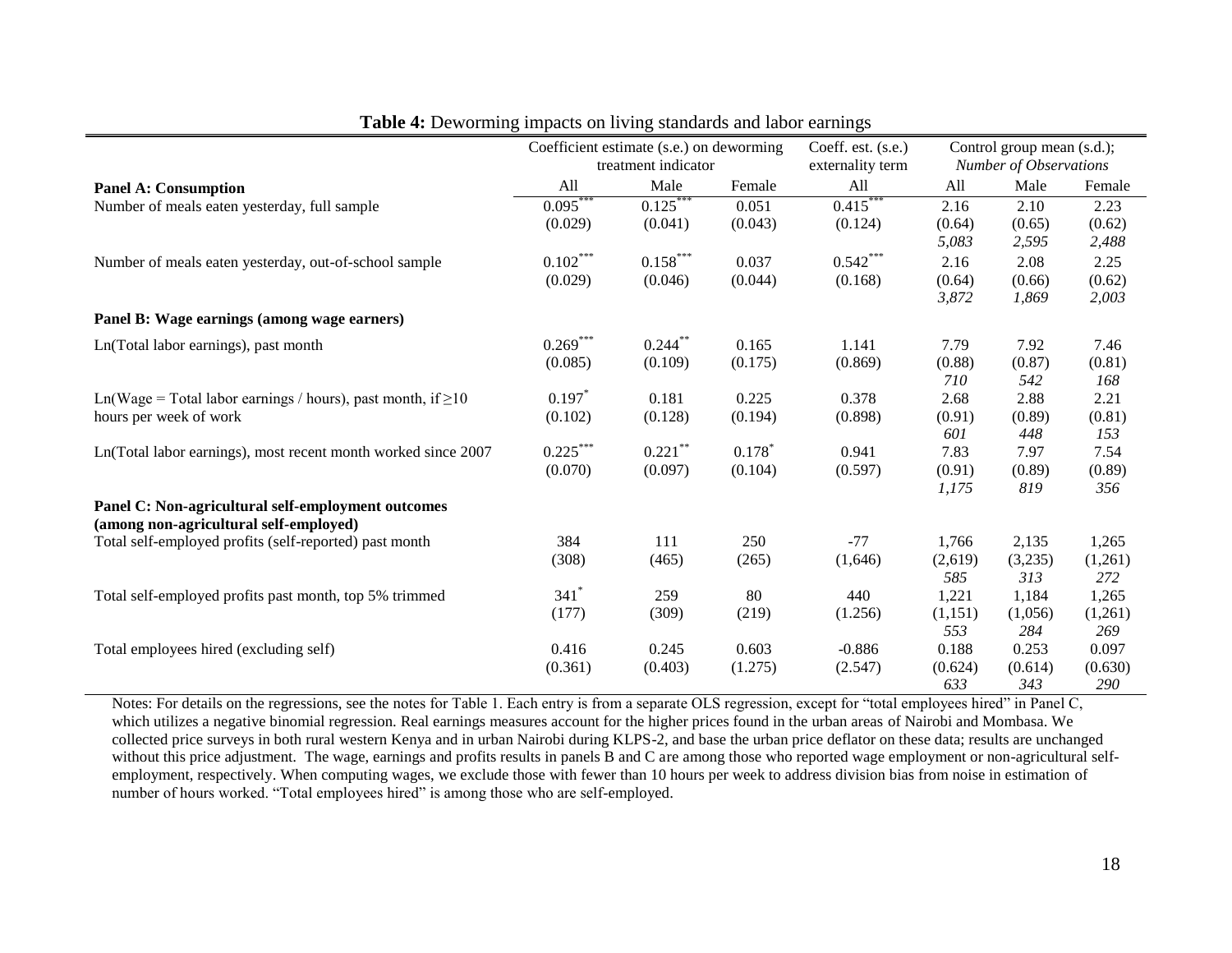|                                                                   | Coefficient estimate (s.e.) on deworming |                        | Coeff. est. (s.e.) | Control group mean (s.d.);    |                |                |                |
|-------------------------------------------------------------------|------------------------------------------|------------------------|--------------------|-------------------------------|----------------|----------------|----------------|
|                                                                   | treatment indicator                      |                        | externality term   | <b>Number of Observations</b> |                |                |                |
| <b>Panel A: Consumption</b>                                       | All                                      | Male                   | Female             | All                           | All            | Male           | Female         |
| Number of meals eaten yesterday, full sample                      | $0.095***$                               | $0.125***$             | 0.051              | $0.415***$                    | 2.16           | 2.10           | 2.23           |
|                                                                   | (0.029)                                  | (0.041)                | (0.043)            | (0.124)                       | (0.64)         | (0.65)         | (0.62)         |
|                                                                   |                                          |                        |                    |                               | 5,083          | 2,595          | 2,488          |
| Number of meals eaten yesterday, out-of-school sample             | $0.102***$                               | $0.158^{\ast\ast\ast}$ | 0.037              | $0.542***$                    | 2.16           | 2.08           | 2.25           |
|                                                                   | (0.029)                                  | (0.046)                | (0.044)            | (0.168)                       | (0.64)         | (0.66)         | (0.62)         |
|                                                                   |                                          |                        |                    |                               | 3,872          | 1,869          | 2,003          |
| Panel B: Wage earnings (among wage earners)                       |                                          |                        |                    |                               |                |                |                |
| Ln(Total labor earnings), past month                              | $0.269***$                               | $0.244***$             | 0.165              | 1.141                         | 7.79           | 7.92           | 7.46           |
|                                                                   | (0.085)                                  | (0.109)                | (0.175)            | (0.869)                       | (0.88)         | (0.87)         | (0.81)         |
|                                                                   |                                          |                        |                    |                               | 710            | 542            | 168            |
| Ln(Wage = Total labor earnings / hours), past month, if $\geq 10$ | $0.197*$                                 | 0.181                  | 0.225              | 0.378                         | 2.68           | 2.88           | 2.21           |
| hours per week of work                                            | (0.102)                                  | (0.128)                | (0.194)            | (0.898)                       | (0.91)         | (0.89)         | (0.81)         |
|                                                                   |                                          |                        |                    |                               | 601            | 448            | 153            |
| Ln(Total labor earnings), most recent month worked since 2007     | $0.225***$                               | $0.221$ **             | $0.178*$           | 0.941                         | 7.83           | 7.97           | 7.54           |
|                                                                   | (0.070)                                  | (0.097)                | (0.104)            | (0.597)                       | (0.91)         | (0.89)         | (0.89)         |
|                                                                   |                                          |                        |                    |                               | 1,175          | 819            | 356            |
| Panel C: Non-agricultural self-employment outcomes                |                                          |                        |                    |                               |                |                |                |
| (among non-agricultural self-employed)                            |                                          |                        |                    |                               |                |                |                |
| Total self-employed profits (self-reported) past month            | 384                                      | 111                    | 250                | $-77$                         | 1,766          | 2,135          | 1,265          |
|                                                                   | (308)                                    | (465)                  | (265)              | (1,646)                       | (2,619)        | (3,235)        | (1,261)        |
|                                                                   |                                          |                        |                    |                               | 585            | 313            | 272            |
| Total self-employed profits past month, top 5% trimmed            | $341*$                                   | 259                    | 80                 | 440                           | 1,221          | 1,184          | 1,265          |
|                                                                   | (177)                                    | (309)                  | (219)              | (1.256)                       | (1,151)        | (1,056)        | (1,261)        |
|                                                                   |                                          |                        |                    |                               | 553            | 284            | 269            |
| Total employees hired (excluding self)                            | 0.416                                    | 0.245                  | 0.603              | $-0.886$                      | 0.188          | 0.253          | 0.097          |
|                                                                   | (0.361)                                  | (0.403)                | (1.275)            | (2.547)                       | (0.624)<br>633 | (0.614)<br>343 | (0.630)<br>290 |
|                                                                   |                                          |                        |                    |                               |                |                |                |

| <b>Table 4:</b> Deworming impacts on living standards and labor earnings |  |  |
|--------------------------------------------------------------------------|--|--|
|                                                                          |  |  |

Notes: For details on the regressions, see the notes for Table 1. Each entry is from a separate OLS regression, except for "total employees hired" in Panel C, which utilizes a negative binomial regression. Real earnings measures account for the higher prices found in the urban areas of Nairobi and Mombasa. We collected price surveys in both rural western Kenya and in urban Nairobi during KLPS-2, and base the urban price deflator on these data; results are unchanged without this price adjustment. The wage, earnings and profits results in panels B and C are among those who reported wage employment or non-agricultural selfemployment, respectively. When computing wages, we exclude those with fewer than 10 hours per week to address division bias from noise in estimation of number of hours worked. "Total employees hired" is among those who are self-employed.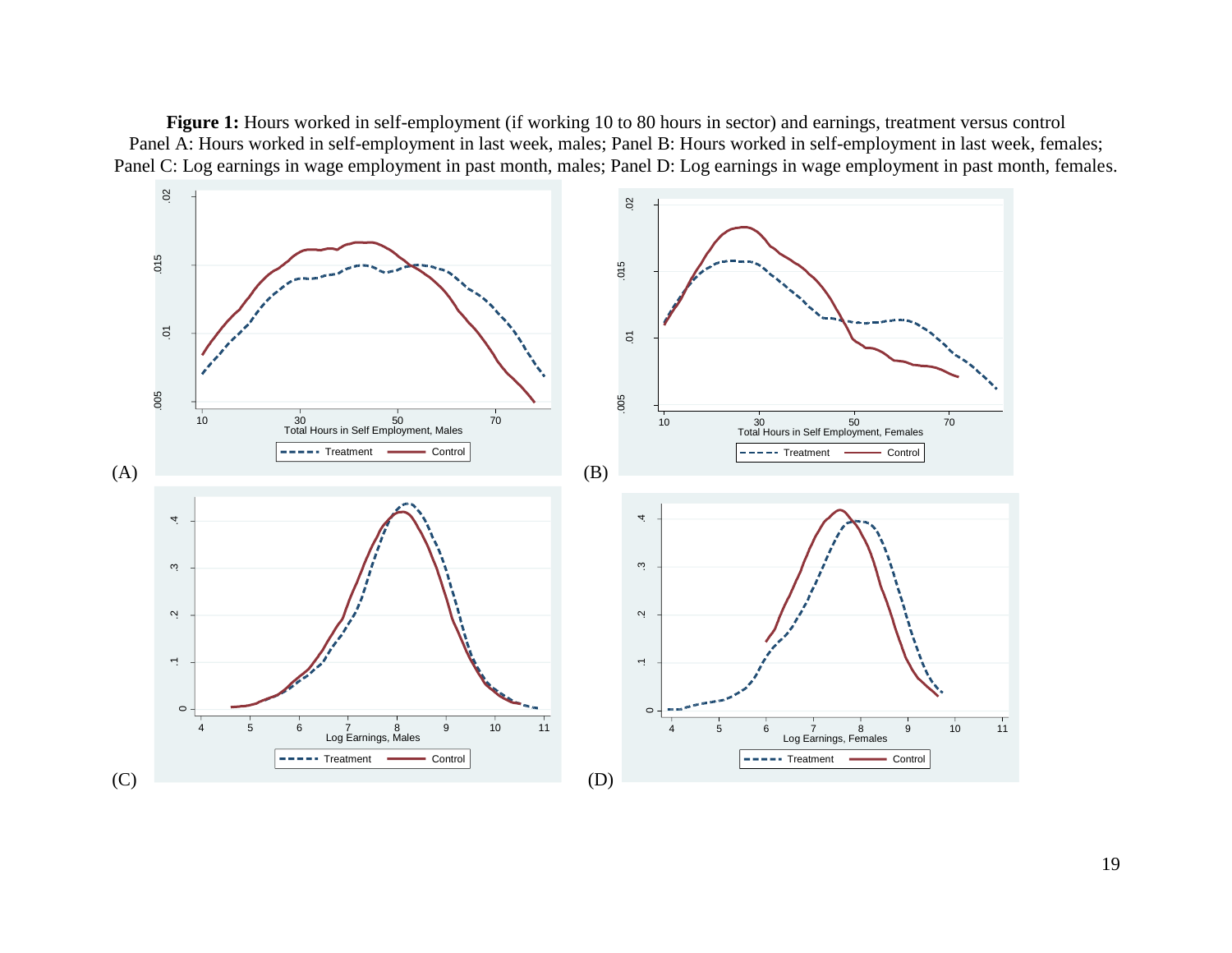**Figure 1:** Hours worked in self-employment (if working 10 to 80 hours in sector) and earnings, treatment versus control Panel A: Hours worked in self-employment in last week, males; Panel B: Hours worked in self-employment in last week, females; Panel C: Log earnings in wage employment in past month, males; Panel D: Log earnings in wage employment in past month, females.

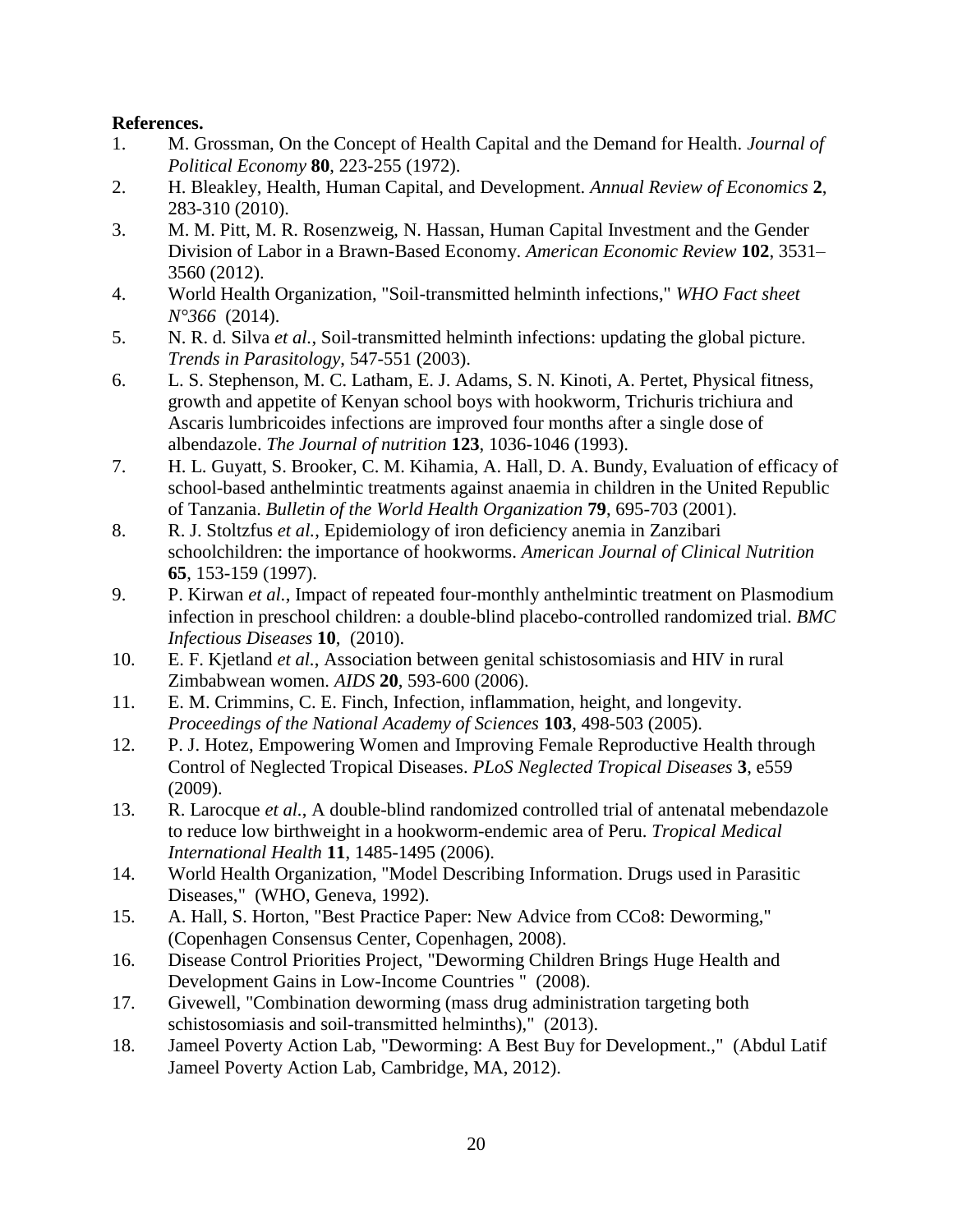# **References.**

- 1. M. Grossman, On the Concept of Health Capital and the Demand for Health. *Journal of Political Economy* **80**, 223-255 (1972).
- 2. H. Bleakley, Health, Human Capital, and Development. *Annual Review of Economics* **2**, 283-310 (2010).
- 3. M. M. Pitt, M. R. Rosenzweig, N. Hassan, Human Capital Investment and the Gender Division of Labor in a Brawn-Based Economy. *American Economic Review* **102**, 3531– 3560 (2012).
- 4. World Health Organization, "Soil-transmitted helminth infections," *WHO Fact sheet N°366* (2014).
- 5. N. R. d. Silva *et al.*, Soil-transmitted helminth infections: updating the global picture. *Trends in Parasitology*, 547-551 (2003).
- 6. L. S. Stephenson, M. C. Latham, E. J. Adams, S. N. Kinoti, A. Pertet, Physical fitness, growth and appetite of Kenyan school boys with hookworm, Trichuris trichiura and Ascaris lumbricoides infections are improved four months after a single dose of albendazole. *The Journal of nutrition* **123**, 1036-1046 (1993).
- 7. H. L. Guyatt, S. Brooker, C. M. Kihamia, A. Hall, D. A. Bundy, Evaluation of efficacy of school-based anthelmintic treatments against anaemia in children in the United Republic of Tanzania. *Bulletin of the World Health Organization* **79**, 695-703 (2001).
- 8. R. J. Stoltzfus *et al.*, Epidemiology of iron deficiency anemia in Zanzibari schoolchildren: the importance of hookworms. *American Journal of Clinical Nutrition* **65**, 153-159 (1997).
- 9. P. Kirwan *et al.*, Impact of repeated four-monthly anthelmintic treatment on Plasmodium infection in preschool children: a double-blind placebo-controlled randomized trial. *BMC Infectious Diseases* **10**, (2010).
- 10. E. F. Kjetland *et al.*, Association between genital schistosomiasis and HIV in rural Zimbabwean women. *AIDS* **20**, 593-600 (2006).
- 11. E. M. Crimmins, C. E. Finch, Infection, inflammation, height, and longevity. *Proceedings of the National Academy of Sciences* **103**, 498-503 (2005).
- 12. P. J. Hotez, Empowering Women and Improving Female Reproductive Health through Control of Neglected Tropical Diseases. *PLoS Neglected Tropical Diseases* **3**, e559 (2009).
- 13. R. Larocque *et al.*, A double-blind randomized controlled trial of antenatal mebendazole to reduce low birthweight in a hookworm-endemic area of Peru. *Tropical Medical International Health* **11**, 1485-1495 (2006).
- 14. World Health Organization, "Model Describing Information. Drugs used in Parasitic Diseases," (WHO, Geneva, 1992).
- 15. A. Hall, S. Horton, "Best Practice Paper: New Advice from CCo8: Deworming," (Copenhagen Consensus Center, Copenhagen, 2008).
- 16. Disease Control Priorities Project, "Deworming Children Brings Huge Health and Development Gains in Low-Income Countries " (2008).
- 17. Givewell, "Combination deworming (mass drug administration targeting both schistosomiasis and soil-transmitted helminths)," (2013).
- 18. Jameel Poverty Action Lab, "Deworming: A Best Buy for Development.," (Abdul Latif Jameel Poverty Action Lab, Cambridge, MA, 2012).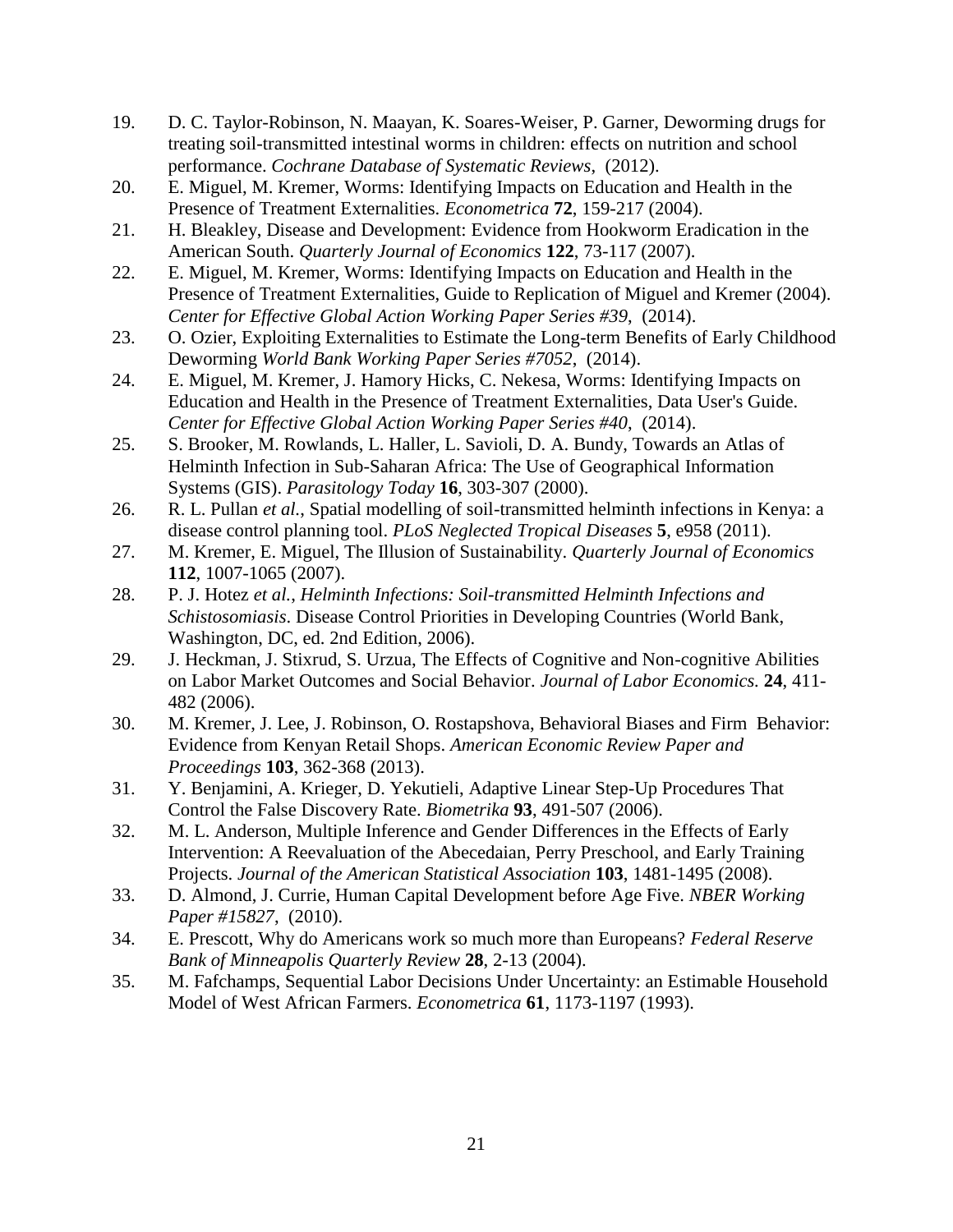- 19. D. C. Taylor-Robinson, N. Maayan, K. Soares-Weiser, P. Garner, Deworming drugs for treating soil-transmitted intestinal worms in children: effects on nutrition and school performance. *Cochrane Database of Systematic Reviews*, (2012).
- 20. E. Miguel, M. Kremer, Worms: Identifying Impacts on Education and Health in the Presence of Treatment Externalities. *Econometrica* **72**, 159-217 (2004).
- 21. H. Bleakley, Disease and Development: Evidence from Hookworm Eradication in the American South. *Quarterly Journal of Economics* **122**, 73-117 (2007).
- 22. E. Miguel, M. Kremer, Worms: Identifying Impacts on Education and Health in the Presence of Treatment Externalities, Guide to Replication of Miguel and Kremer (2004). *Center for Effective Global Action Working Paper Series #39*, (2014).
- 23. O. Ozier, Exploiting Externalities to Estimate the Long-term Benefits of Early Childhood Deworming *World Bank Working Paper Series #7052*, (2014).
- 24. E. Miguel, M. Kremer, J. Hamory Hicks, C. Nekesa, Worms: Identifying Impacts on Education and Health in the Presence of Treatment Externalities, Data User's Guide. *Center for Effective Global Action Working Paper Series #40*, (2014).
- 25. S. Brooker, M. Rowlands, L. Haller, L. Savioli, D. A. Bundy, Towards an Atlas of Helminth Infection in Sub-Saharan Africa: The Use of Geographical Information Systems (GIS). *Parasitology Today* **16**, 303-307 (2000).
- 26. R. L. Pullan *et al.*, Spatial modelling of soil-transmitted helminth infections in Kenya: a disease control planning tool. *PLoS Neglected Tropical Diseases* **5**, e958 (2011).
- 27. M. Kremer, E. Miguel, The Illusion of Sustainability. *Quarterly Journal of Economics* **112**, 1007-1065 (2007).
- 28. P. J. Hotez *et al.*, *Helminth Infections: Soil-transmitted Helminth Infections and Schistosomiasis*. Disease Control Priorities in Developing Countries (World Bank, Washington, DC, ed. 2nd Edition, 2006).
- 29. J. Heckman, J. Stixrud, S. Urzua, The Effects of Cognitive and Non-cognitive Abilities on Labor Market Outcomes and Social Behavior. *Journal of Labor Economics.* **24**, 411- 482 (2006).
- 30. M. Kremer, J. Lee, J. Robinson, O. Rostapshova, Behavioral Biases and Firm Behavior: Evidence from Kenyan Retail Shops. *American Economic Review Paper and Proceedings* **103**, 362-368 (2013).
- 31. Y. Benjamini, A. Krieger, D. Yekutieli, Adaptive Linear Step-Up Procedures That Control the False Discovery Rate. *Biometrika* **93**, 491-507 (2006).
- 32. M. L. Anderson, Multiple Inference and Gender Differences in the Effects of Early Intervention: A Reevaluation of the Abecedaian, Perry Preschool, and Early Training Projects. *Journal of the American Statistical Association* **103**, 1481-1495 (2008).
- 33. D. Almond, J. Currie, Human Capital Development before Age Five. *NBER Working Paper #15827*, (2010).
- 34. E. Prescott, Why do Americans work so much more than Europeans? *Federal Reserve Bank of Minneapolis Quarterly Review* **28**, 2-13 (2004).
- 35. M. Fafchamps, Sequential Labor Decisions Under Uncertainty: an Estimable Household Model of West African Farmers. *Econometrica* **61**, 1173-1197 (1993).